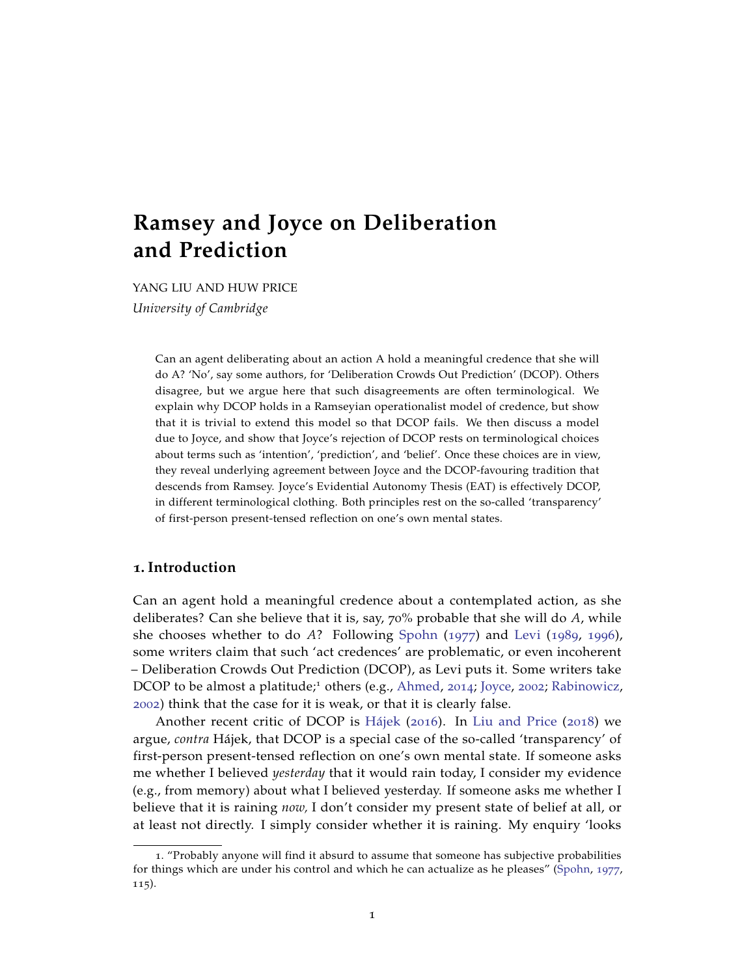# **Ramsey and Joyce on Deliberation and Prediction**

YANG LIU AND HUW PRICE *University of Cambridge*

> Can an agent deliberating about an action A hold a meaningful credence that she will do A? 'No', say some authors, for 'Deliberation Crowds Out Prediction' (DCOP). Others disagree, but we argue here that such disagreements are often terminological. We explain why DCOP holds in a Ramseyian operationalist model of credence, but show that it is trivial to extend this model so that DCOP fails. We then discuss a model due to Joyce, and show that Joyce's rejection of DCOP rests on terminological choices about terms such as 'intention', 'prediction', and 'belief'. Once these choices are in view, they reveal underlying agreement between Joyce and the DCOP-favouring tradition that descends from Ramsey. Joyce's Evidential Autonomy Thesis (EAT) is effectively DCOP, in different terminological clothing. Both principles rest on the so-called 'transparency' of first-person present-tensed reflection on one's own mental states.

# **1. Introduction**

Can an agent hold a meaningful credence about a contemplated action, as she deliberates? Can she believe that it is, say, 70% probable that she will do *A*, while she chooses whether to do *A*? Following [Spohn](#page-24-0) ([1977](#page-24-0)) and [Levi](#page-24-1) ([1989](#page-24-1), [1996](#page-24-2)), some writers claim that such 'act credences' are problematic, or even incoherent – Deliberation Crowds Out Prediction (DCOP), as Levi puts it. Some writers take DCOP to be almost a platitude;<sup>1</sup> others (e.g., [Ahmed,](#page-23-0) [2014](#page-23-0); [Joyce,](#page-23-1) [2002](#page-23-1); [Rabinowicz,](#page-24-3) [2002](#page-24-3)) think that the case for it is weak, or that it is clearly false.

Another recent critic of DCOP is [Hájek](#page-23-2) ([2016](#page-23-2)). In [Liu and Price](#page-24-4) ([2018](#page-24-4)) we argue, *contra* Hájek, that DCOP is a special case of the so-called 'transparency' of first-person present-tensed reflection on one's own mental state. If someone asks me whether I believed *yesterday* that it would rain today, I consider my evidence (e.g., from memory) about what I believed yesterday. If someone asks me whether I believe that it is raining *now,* I don't consider my present state of belief at all, or at least not directly. I simply consider whether it is raining. My enquiry 'looks

<sup>1</sup>. "Probably anyone will find it absurd to assume that someone has subjective probabilities for things which are under his control and which he can actualize as he pleases" [\(Spohn,](#page-24-0) [1977](#page-24-0), 115).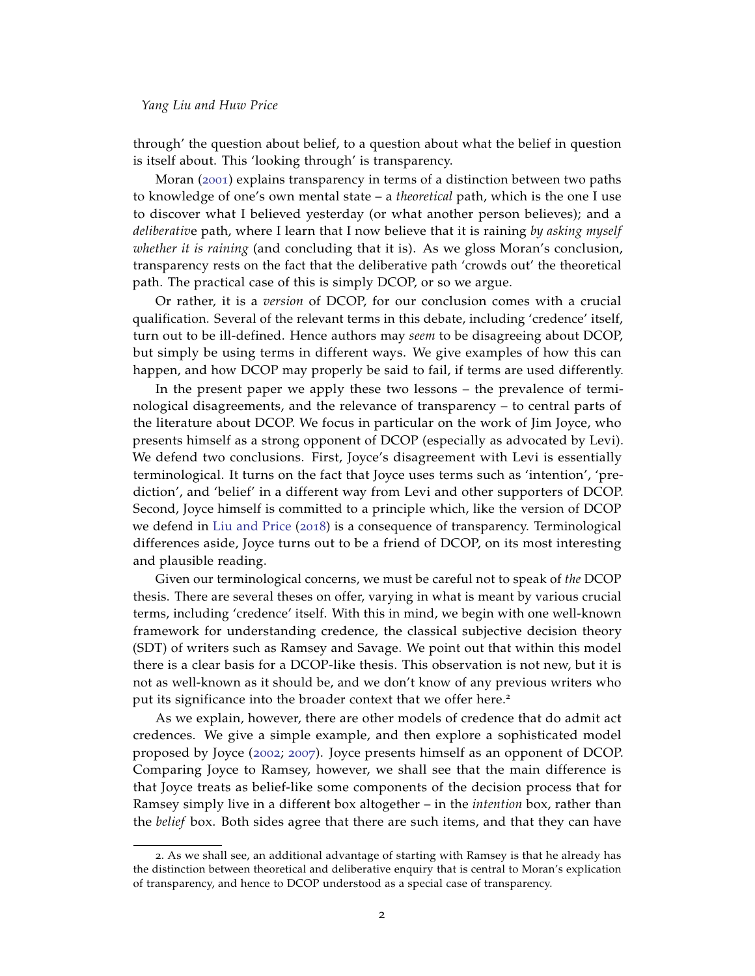through' the question about belief, to a question about what the belief in question is itself about. This 'looking through' is transparency.

Moran ([2001](#page-24-5)) explains transparency in terms of a distinction between two paths to knowledge of one's own mental state – a *theoretical* path, which is the one I use to discover what I believed yesterday (or what another person believes); and a *deliberativ*e path, where I learn that I now believe that it is raining *by asking myself whether it is raining* (and concluding that it is). As we gloss Moran's conclusion, transparency rests on the fact that the deliberative path 'crowds out' the theoretical path. The practical case of this is simply DCOP, or so we argue.

Or rather, it is a *version* of DCOP, for our conclusion comes with a crucial qualification. Several of the relevant terms in this debate, including 'credence' itself, turn out to be ill-defined. Hence authors may *seem* to be disagreeing about DCOP, but simply be using terms in different ways. We give examples of how this can happen, and how DCOP may properly be said to fail, if terms are used differently.

In the present paper we apply these two lessons – the prevalence of terminological disagreements, and the relevance of transparency – to central parts of the literature about DCOP. We focus in particular on the work of Jim Joyce, who presents himself as a strong opponent of DCOP (especially as advocated by Levi). We defend two conclusions. First, Joyce's disagreement with Levi is essentially terminological. It turns on the fact that Joyce uses terms such as 'intention', 'prediction', and 'belief' in a different way from Levi and other supporters of DCOP. Second, Joyce himself is committed to a principle which, like the version of DCOP we defend in [Liu and Price](#page-24-4) ([2018](#page-24-4)) is a consequence of transparency. Terminological differences aside, Joyce turns out to be a friend of DCOP, on its most interesting and plausible reading.

Given our terminological concerns, we must be careful not to speak of *the* DCOP thesis. There are several theses on offer, varying in what is meant by various crucial terms, including 'credence' itself. With this in mind, we begin with one well-known framework for understanding credence, the classical subjective decision theory (SDT) of writers such as Ramsey and Savage. We point out that within this model there is a clear basis for a DCOP-like thesis. This observation is not new, but it is not as well-known as it should be, and we don't know of any previous writers who put its significance into the broader context that we offer here.<sup>2</sup>

As we explain, however, there are other models of credence that do admit act credences. We give a simple example, and then explore a sophisticated model proposed by Joyce ([2002](#page-23-1); [2007](#page-23-3)). Joyce presents himself as an opponent of DCOP. Comparing Joyce to Ramsey, however, we shall see that the main difference is that Joyce treats as belief-like some components of the decision process that for Ramsey simply live in a different box altogether – in the *intention* box, rather than the *belief* box. Both sides agree that there are such items, and that they can have

<sup>2</sup>. As we shall see, an additional advantage of starting with Ramsey is that he already has the distinction between theoretical and deliberative enquiry that is central to Moran's explication of transparency, and hence to DCOP understood as a special case of transparency.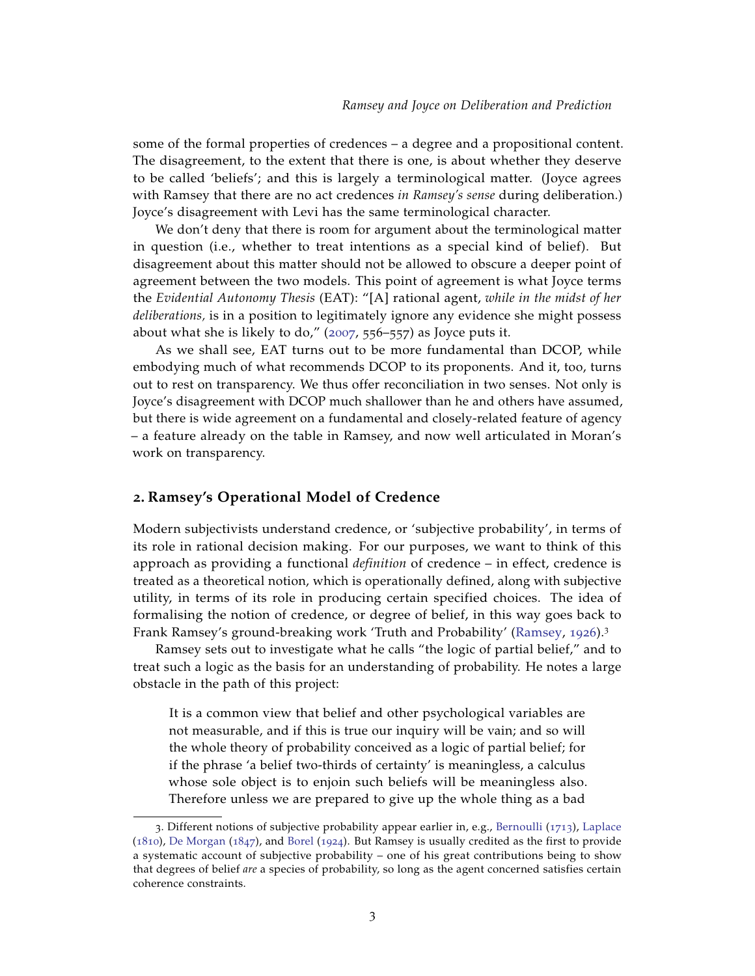some of the formal properties of credences – a degree and a propositional content. The disagreement, to the extent that there is one, is about whether they deserve to be called 'beliefs'; and this is largely a terminological matter. (Joyce agrees with Ramsey that there are no act credences *in Ramsey's sense* during deliberation.) Joyce's disagreement with Levi has the same terminological character.

We don't deny that there is room for argument about the terminological matter in question (i.e., whether to treat intentions as a special kind of belief). But disagreement about this matter should not be allowed to obscure a deeper point of agreement between the two models. This point of agreement is what Joyce terms the *Evidential Autonomy Thesis* (EAT): "[A] rational agent, *while in the midst of her deliberations,* is in a position to legitimately ignore any evidence she might possess about what she is likely to do,"  $(2007, 556-557)$  $(2007, 556-557)$  $(2007, 556-557)$  as Joyce puts it.

As we shall see, EAT turns out to be more fundamental than DCOP, while embodying much of what recommends DCOP to its proponents. And it, too, turns out to rest on transparency. We thus offer reconciliation in two senses. Not only is Joyce's disagreement with DCOP much shallower than he and others have assumed, but there is wide agreement on a fundamental and closely-related feature of agency – a feature already on the table in Ramsey, and now well articulated in Moran's work on transparency.

## **2. Ramsey's Operational Model of Credence**

Modern subjectivists understand credence, or 'subjective probability', in terms of its role in rational decision making. For our purposes, we want to think of this approach as providing a functional *definition* of credence – in effect, credence is treated as a theoretical notion, which is operationally defined, along with subjective utility, in terms of its role in producing certain specified choices. The idea of formalising the notion of credence, or degree of belief, in this way goes back to Frank Ramsey's ground-breaking work 'Truth and Probability' [\(Ramsey,](#page-24-6) [1926](#page-24-6)).<sup>3</sup>

Ramsey sets out to investigate what he calls "the logic of partial belief," and to treat such a logic as the basis for an understanding of probability. He notes a large obstacle in the path of this project:

It is a common view that belief and other psychological variables are not measurable, and if this is true our inquiry will be vain; and so will the whole theory of probability conceived as a logic of partial belief; for if the phrase 'a belief two-thirds of certainty' is meaningless, a calculus whose sole object is to enjoin such beliefs will be meaningless also. Therefore unless we are prepared to give up the whole thing as a bad

<sup>3</sup>. Different notions of subjective probability appear earlier in, e.g., [Bernoulli](#page-23-4) ([1713](#page-23-4)), [Laplace](#page-24-7) ([1810](#page-24-7)), [De Morgan](#page-23-5) ([1847](#page-23-5)), and [Borel](#page-23-6) ([1924](#page-23-6)). But Ramsey is usually credited as the first to provide a systematic account of subjective probability – one of his great contributions being to show that degrees of belief *are* a species of probability, so long as the agent concerned satisfies certain coherence constraints.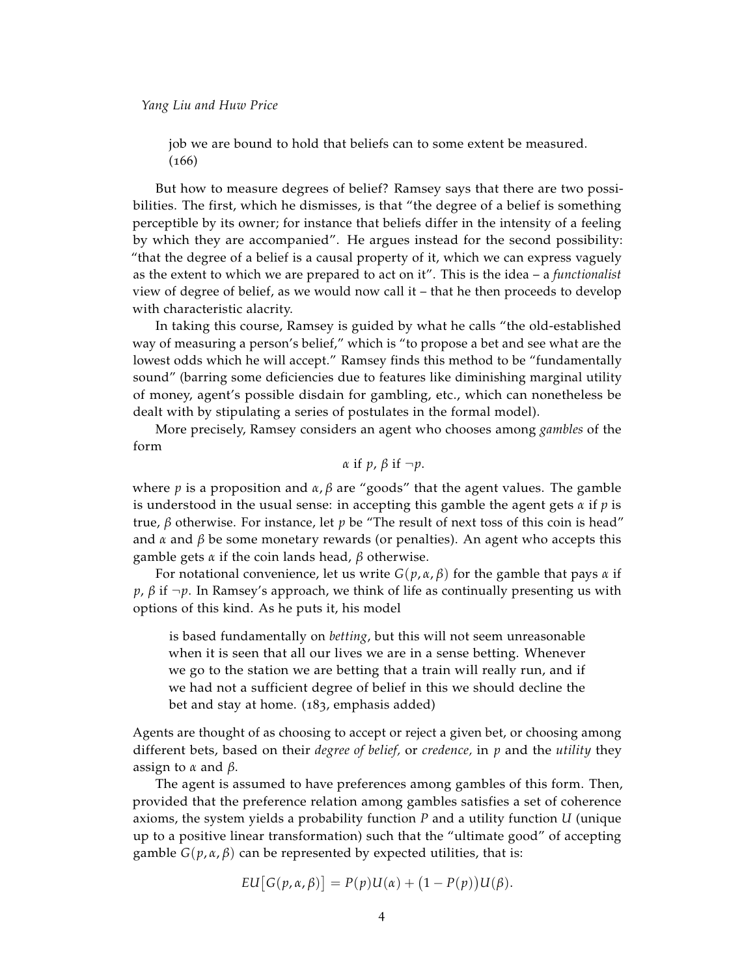job we are bound to hold that beliefs can to some extent be measured.  $(166)$ 

But how to measure degrees of belief? Ramsey says that there are two possibilities. The first, which he dismisses, is that "the degree of a belief is something perceptible by its owner; for instance that beliefs differ in the intensity of a feeling by which they are accompanied". He argues instead for the second possibility: "that the degree of a belief is a causal property of it, which we can express vaguely as the extent to which we are prepared to act on it". This is the idea – a *functionalist* view of degree of belief, as we would now call it – that he then proceeds to develop with characteristic alacrity.

In taking this course, Ramsey is guided by what he calls "the old-established way of measuring a person's belief," which is "to propose a bet and see what are the lowest odds which he will accept." Ramsey finds this method to be "fundamentally sound" (barring some deficiencies due to features like diminishing marginal utility of money, agent's possible disdain for gambling, etc., which can nonetheless be dealt with by stipulating a series of postulates in the formal model).

More precisely, Ramsey considers an agent who chooses among *gambles* of the form

$$
\alpha
$$
 if  $p$ ,  $\beta$  if  $\neg p$ .

where *p* is a proposition and  $\alpha$ ,  $\beta$  are "goods" that the agent values. The gamble is understood in the usual sense: in accepting this gamble the agent gets *α* if *p* is true, *β* otherwise. For instance, let *p* be "The result of next toss of this coin is head" and  $\alpha$  and  $\beta$  be some monetary rewards (or penalties). An agent who accepts this gamble gets *α* if the coin lands head, *β* otherwise.

For notational convenience, let us write *G*(*p*, *α*, *β*) for the gamble that pays *α* if *p*, *β* if ¬*p*. In Ramsey's approach, we think of life as continually presenting us with options of this kind. As he puts it, his model

is based fundamentally on *betting*, but this will not seem unreasonable when it is seen that all our lives we are in a sense betting. Whenever we go to the station we are betting that a train will really run, and if we had not a sufficient degree of belief in this we should decline the bet and stay at home. (183, emphasis added)

Agents are thought of as choosing to accept or reject a given bet, or choosing among different bets, based on their *degree of belief,* or *credence,* in *p* and the *utility* they assign to *α* and *β*.

The agent is assumed to have preferences among gambles of this form. Then, provided that the preference relation among gambles satisfies a set of coherence axioms, the system yields a probability function *P* and a utility function *U* (unique up to a positive linear transformation) such that the "ultimate good" of accepting gamble *G*( $p$ ,  $α$ ,  $β$ ) can be represented by expected utilities, that is:

$$
EU[G(p,\alpha,\beta)]=P(p)U(\alpha)+(1-P(p))U(\beta).
$$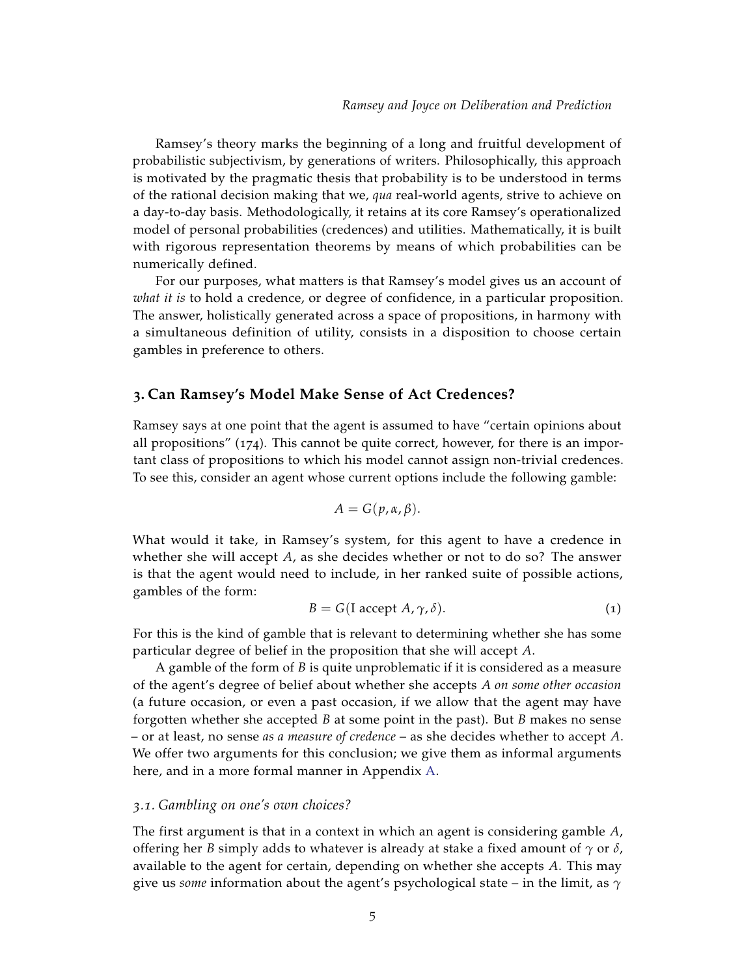Ramsey's theory marks the beginning of a long and fruitful development of probabilistic subjectivism, by generations of writers. Philosophically, this approach is motivated by the pragmatic thesis that probability is to be understood in terms of the rational decision making that we, *qua* real-world agents, strive to achieve on a day-to-day basis. Methodologically, it retains at its core Ramsey's operationalized model of personal probabilities (credences) and utilities. Mathematically, it is built with rigorous representation theorems by means of which probabilities can be numerically defined.

For our purposes, what matters is that Ramsey's model gives us an account of *what it is* to hold a credence, or degree of confidence, in a particular proposition. The answer, holistically generated across a space of propositions, in harmony with a simultaneous definition of utility, consists in a disposition to choose certain gambles in preference to others.

## <span id="page-4-1"></span>**3. Can Ramsey's Model Make Sense of Act Credences?**

Ramsey says at one point that the agent is assumed to have "certain opinions about all propositions" (174). This cannot be quite correct, however, for there is an important class of propositions to which his model cannot assign non-trivial credences. To see this, consider an agent whose current options include the following gamble:

<span id="page-4-0"></span>
$$
A=G(p,\alpha,\beta).
$$

What would it take, in Ramsey's system, for this agent to have a credence in whether she will accept *A*, as she decides whether or not to do so? The answer is that the agent would need to include, in her ranked suite of possible actions, gambles of the form:

$$
B = G(I \text{ accept } A, \gamma, \delta).
$$
 (1)

For this is the kind of gamble that is relevant to determining whether she has some particular degree of belief in the proposition that she will accept *A*.

A gamble of the form of *B* is quite unproblematic if it is considered as a measure of the agent's degree of belief about whether she accepts *A on some other occasion* (a future occasion, or even a past occasion, if we allow that the agent may have forgotten whether she accepted *B* at some point in the past). But *B* makes no sense – or at least, no sense *as a measure of credence* – as she decides whether to accept *A*. We offer two arguments for this conclusion; we give them as informal arguments here, and in a more formal manner in Appendix [A.](#page-21-0)

#### *3.1. Gambling on one's own choices?*

The first argument is that in a context in which an agent is considering gamble *A*, offering her *B* simply adds to whatever is already at stake a fixed amount of *γ* or *δ*, available to the agent for certain, depending on whether she accepts *A*. This may give us *some* information about the agent's psychological state – in the limit, as *γ*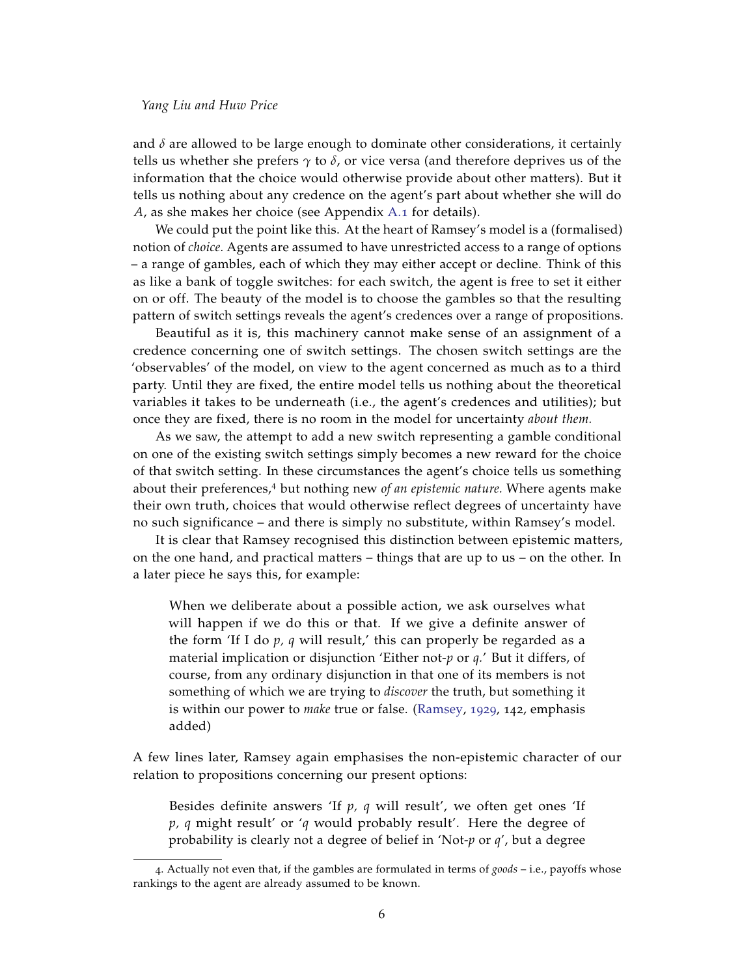and  $\delta$  are allowed to be large enough to dominate other considerations, it certainly tells us whether she prefers *γ* to *δ*, or vice versa (and therefore deprives us of the information that the choice would otherwise provide about other matters). But it tells us nothing about any credence on the agent's part about whether she will do *A*, as she makes her choice (see Appendix [A.](#page-21-1)1 for details).

We could put the point like this. At the heart of Ramsey's model is a (formalised) notion of *choice.* Agents are assumed to have unrestricted access to a range of options – a range of gambles, each of which they may either accept or decline. Think of this as like a bank of toggle switches: for each switch, the agent is free to set it either on or off. The beauty of the model is to choose the gambles so that the resulting pattern of switch settings reveals the agent's credences over a range of propositions.

Beautiful as it is, this machinery cannot make sense of an assignment of a credence concerning one of switch settings. The chosen switch settings are the 'observables' of the model, on view to the agent concerned as much as to a third party. Until they are fixed, the entire model tells us nothing about the theoretical variables it takes to be underneath (i.e., the agent's credences and utilities); but once they are fixed, there is no room in the model for uncertainty *about them.*

As we saw, the attempt to add a new switch representing a gamble conditional on one of the existing switch settings simply becomes a new reward for the choice of that switch setting. In these circumstances the agent's choice tells us something about their preferences,<sup>4</sup> but nothing new *of an epistemic nature.* Where agents make their own truth, choices that would otherwise reflect degrees of uncertainty have no such significance – and there is simply no substitute, within Ramsey's model.

It is clear that Ramsey recognised this distinction between epistemic matters, on the one hand, and practical matters – things that are up to us – on the other. In a later piece he says this, for example:

When we deliberate about a possible action, we ask ourselves what will happen if we do this or that. If we give a definite answer of the form 'If I do *p, q* will result,' this can properly be regarded as a material implication or disjunction 'Either not-*p* or *q.*' But it differs, of course, from any ordinary disjunction in that one of its members is not something of which we are trying to *discover* the truth, but something it is within our power to *make* true or false. [\(Ramsey,](#page-24-8) [1929](#page-24-8), 142, emphasis added)

A few lines later, Ramsey again emphasises the non-epistemic character of our relation to propositions concerning our present options:

Besides definite answers 'If *p, q* will result', we often get ones 'If *p, q* might result' or '*q* would probably result'. Here the degree of probability is clearly not a degree of belief in 'Not-*p* or *q*', but a degree

<sup>4</sup>. Actually not even that, if the gambles are formulated in terms of *goods* – i.e., payoffs whose rankings to the agent are already assumed to be known.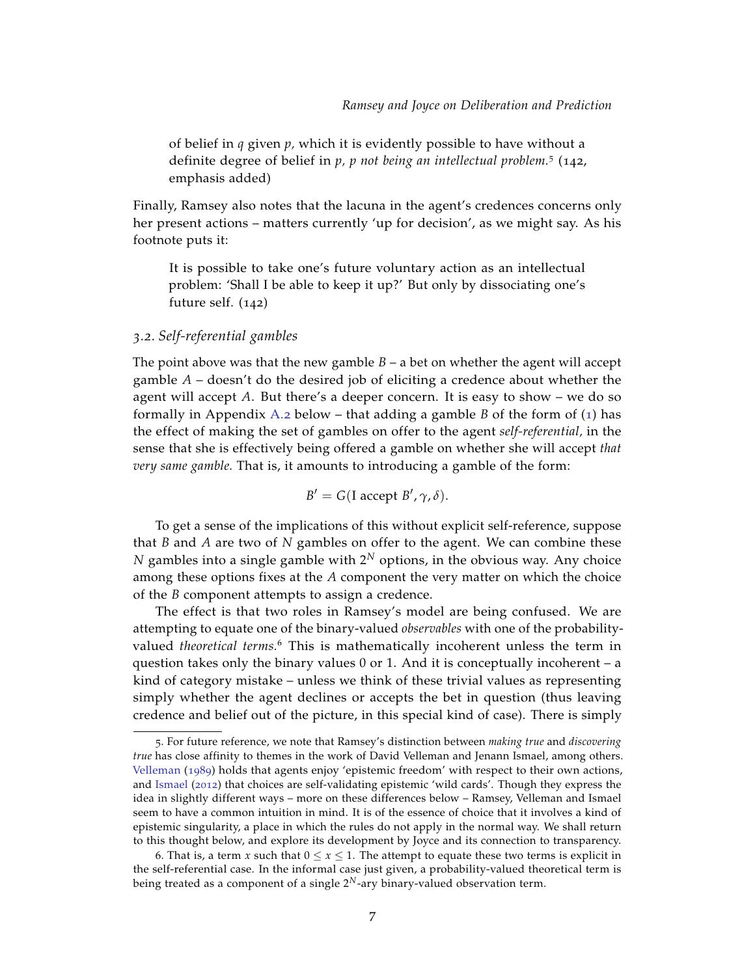of belief in *q* given *p,* which it is evidently possible to have without a definite degree of belief in *p, p not being an intellectual problem.*<sup>5</sup> (142, emphasis added)

Finally, Ramsey also notes that the lacuna in the agent's credences concerns only her present actions – matters currently 'up for decision', as we might say. As his footnote puts it:

It is possible to take one's future voluntary action as an intellectual problem: 'Shall I be able to keep it up?' But only by dissociating one's future self. (142)

## *3.2. Self-referential gambles*

The point above was that the new gamble  $B - a$  bet on whether the agent will accept gamble *A* – doesn't do the desired job of eliciting a credence about whether the agent will accept *A*. But there's a deeper concern. It is easy to show – we do so formally in Appendix [A.](#page-22-0)2 below – that adding a gamble *B* of the form of  $(1)$  $(1)$  $(1)$  has the effect of making the set of gambles on offer to the agent *self-referential,* in the sense that she is effectively being offered a gamble on whether she will accept *that very same gamble.* That is, it amounts to introducing a gamble of the form:

$$
B' = G(I \text{ accept } B', \gamma, \delta).
$$

To get a sense of the implications of this without explicit self-reference, suppose that *B* and *A* are two of *N* gambles on offer to the agent. We can combine these  $N$  gambles into a single gamble with  $2^N$  options, in the obvious way. Any choice among these options fixes at the *A* component the very matter on which the choice of the *B* component attempts to assign a credence.

The effect is that two roles in Ramsey's model are being confused. We are attempting to equate one of the binary-valued *observables* with one of the probabilityvalued *theoretical terms.*<sup>6</sup> This is mathematically incoherent unless the term in question takes only the binary values 0 or 1. And it is conceptually incoherent – a kind of category mistake – unless we think of these trivial values as representing simply whether the agent declines or accepts the bet in question (thus leaving credence and belief out of the picture, in this special kind of case). There is simply

<sup>5</sup>. For future reference, we note that Ramsey's distinction between *making true* and *discovering true* has close affinity to themes in the work of David Velleman and Jenann Ismael, among others. [Velleman](#page-24-9) ([1989](#page-24-9)) holds that agents enjoy 'epistemic freedom' with respect to their own actions, and [Ismael](#page-23-7) ([2012](#page-23-7)) that choices are self-validating epistemic 'wild cards'. Though they express the idea in slightly different ways – more on these differences below – Ramsey, Velleman and Ismael seem to have a common intuition in mind. It is of the essence of choice that it involves a kind of epistemic singularity, a place in which the rules do not apply in the normal way. We shall return to this thought below, and explore its development by Joyce and its connection to transparency.

<sup>6.</sup> That is, a term *x* such that  $0 \le x \le 1$ . The attempt to equate these two terms is explicit in the self-referential case. In the informal case just given, a probability-valued theoretical term is being treated as a component of a single  $2^N$ -ary binary-valued observation term.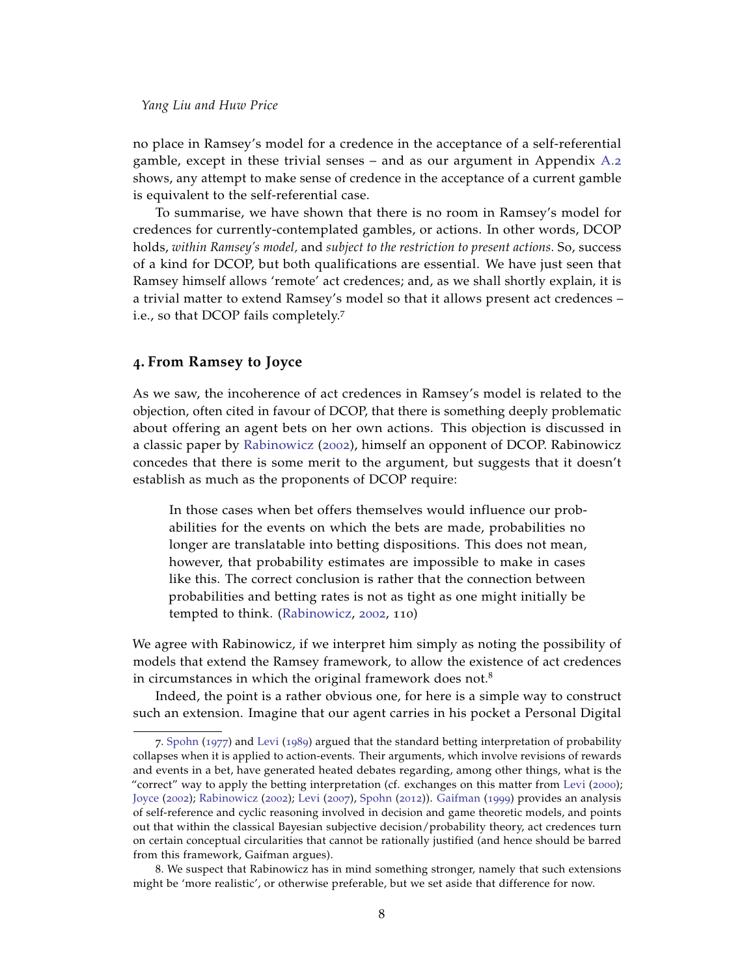no place in Ramsey's model for a credence in the acceptance of a self-referential gamble, except in these trivial senses – and as our argument in Appendix [A.](#page-22-0)2 shows, any attempt to make sense of credence in the acceptance of a current gamble is equivalent to the self-referential case.

To summarise, we have shown that there is no room in Ramsey's model for credences for currently-contemplated gambles, or actions. In other words, DCOP holds, *within Ramsey's model,* and *subject to the restriction to present actions.* So, success of a kind for DCOP, but both qualifications are essential. We have just seen that Ramsey himself allows 'remote' act credences; and, as we shall shortly explain, it is a trivial matter to extend Ramsey's model so that it allows present act credences – i.e., so that DCOP fails completely.<sup>7</sup>

## **4. From Ramsey to Joyce**

As we saw, the incoherence of act credences in Ramsey's model is related to the objection, often cited in favour of DCOP, that there is something deeply problematic about offering an agent bets on her own actions. This objection is discussed in a classic paper by [Rabinowicz](#page-24-3) ([2002](#page-24-3)), himself an opponent of DCOP. Rabinowicz concedes that there is some merit to the argument, but suggests that it doesn't establish as much as the proponents of DCOP require:

In those cases when bet offers themselves would influence our probabilities for the events on which the bets are made, probabilities no longer are translatable into betting dispositions. This does not mean, however, that probability estimates are impossible to make in cases like this. The correct conclusion is rather that the connection between probabilities and betting rates is not as tight as one might initially be tempted to think. [\(Rabinowicz,](#page-24-3) [2002](#page-24-3), 110)

We agree with Rabinowicz, if we interpret him simply as noting the possibility of models that extend the Ramsey framework, to allow the existence of act credences in circumstances in which the original framework does not. $8$ 

Indeed, the point is a rather obvious one, for here is a simple way to construct such an extension. Imagine that our agent carries in his pocket a Personal Digital

<sup>7</sup>. [Spohn](#page-24-0) ([1977](#page-24-0)) and [Levi](#page-24-1) ([1989](#page-24-1)) argued that the standard betting interpretation of probability collapses when it is applied to action-events. Their arguments, which involve revisions of rewards and events in a bet, have generated heated debates regarding, among other things, what is the "correct" way to apply the betting interpretation (cf. exchanges on this matter from [Levi](#page-24-10) ([2000](#page-24-10)); [Joyce](#page-23-1) ([2002](#page-23-1)); [Rabinowicz](#page-24-3) ([2002](#page-24-3)); [Levi](#page-24-11) ([2007](#page-24-11)), [Spohn](#page-24-12) ([2012](#page-24-12))). [Gaifman](#page-23-8) ([1999](#page-23-8)) provides an analysis of self-reference and cyclic reasoning involved in decision and game theoretic models, and points out that within the classical Bayesian subjective decision/probability theory, act credences turn on certain conceptual circularities that cannot be rationally justified (and hence should be barred from this framework, Gaifman argues).

<sup>8</sup>. We suspect that Rabinowicz has in mind something stronger, namely that such extensions might be 'more realistic', or otherwise preferable, but we set aside that difference for now.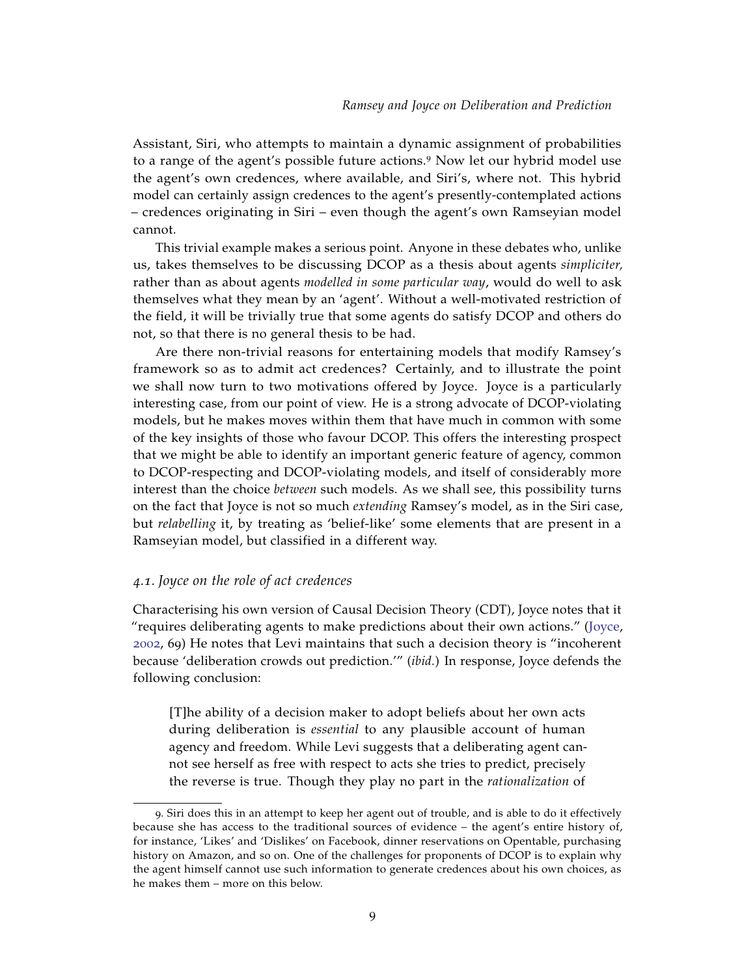Assistant, Siri, who attempts to maintain a dynamic assignment of probabilities to a range of the agent's possible future actions.<sup>9</sup> Now let our hybrid model use the agent's own credences, where available, and Siri's, where not. This hybrid model can certainly assign credences to the agent's presently-contemplated actions – credences originating in Siri – even though the agent's own Ramseyian model cannot.

This trivial example makes a serious point. Anyone in these debates who, unlike us, takes themselves to be discussing DCOP as a thesis about agents *simpliciter,* rather than as about agents *modelled in some particular way*, would do well to ask themselves what they mean by an 'agent'. Without a well-motivated restriction of the field, it will be trivially true that some agents do satisfy DCOP and others do not, so that there is no general thesis to be had.

Are there non-trivial reasons for entertaining models that modify Ramsey's framework so as to admit act credences? Certainly, and to illustrate the point we shall now turn to two motivations offered by Joyce. Joyce is a particularly interesting case, from our point of view. He is a strong advocate of DCOP-violating models, but he makes moves within them that have much in common with some of the key insights of those who favour DCOP. This offers the interesting prospect that we might be able to identify an important generic feature of agency, common to DCOP-respecting and DCOP-violating models, and itself of considerably more interest than the choice *between* such models. As we shall see, this possibility turns on the fact that Joyce is not so much *extending* Ramsey's model, as in the Siri case, but *relabelling* it, by treating as 'belief-like' some elements that are present in a Ramseyian model, but classified in a different way.

## *4.1. Joyce on the role of act credences*

Characterising his own version of Causal Decision Theory (CDT), Joyce notes that it "requires deliberating agents to make predictions about their own actions." [\(Joyce,](#page-23-1) [2002](#page-23-1), 69) He notes that Levi maintains that such a decision theory is "incoherent because 'deliberation crowds out prediction.'" (*ibid.*) In response, Joyce defends the following conclusion:

[T]he ability of a decision maker to adopt beliefs about her own acts during deliberation is *essential* to any plausible account of human agency and freedom. While Levi suggests that a deliberating agent cannot see herself as free with respect to acts she tries to predict, precisely the reverse is true. Though they play no part in the *rationalization* of

<sup>9</sup>. Siri does this in an attempt to keep her agent out of trouble, and is able to do it effectively because she has access to the traditional sources of evidence – the agent's entire history of, for instance, 'Likes' and 'Dislikes' on Facebook, dinner reservations on Opentable, purchasing history on Amazon, and so on. One of the challenges for proponents of DCOP is to explain why the agent himself cannot use such information to generate credences about his own choices, as he makes them – more on this below.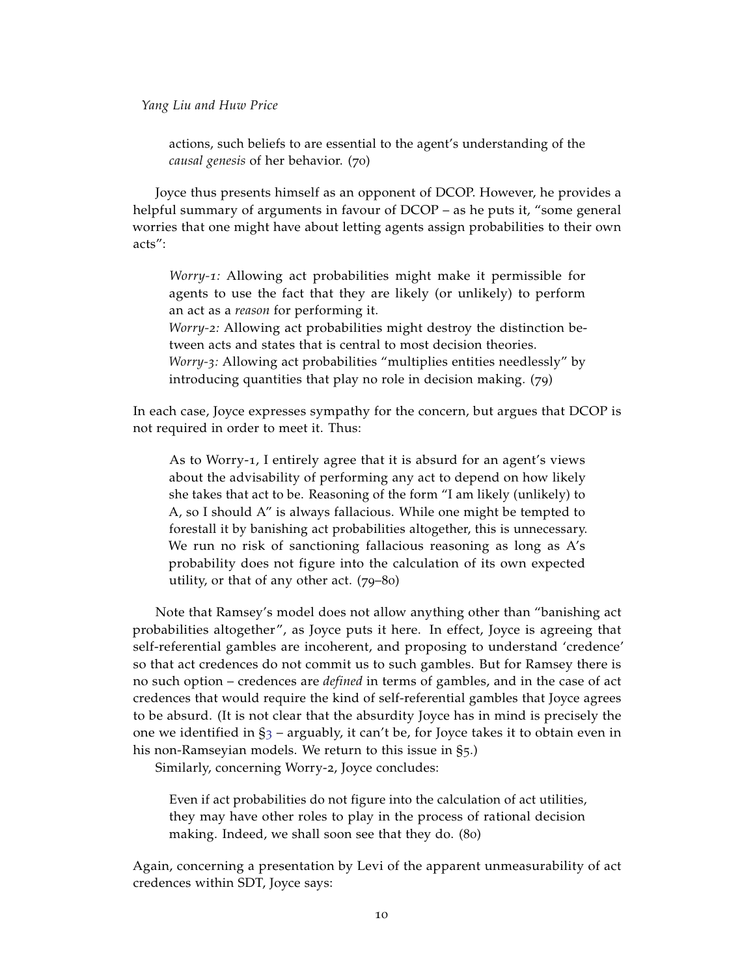actions, such beliefs to are essential to the agent's understanding of the *causal genesis* of her behavior. (70)

Joyce thus presents himself as an opponent of DCOP. However, he provides a helpful summary of arguments in favour of DCOP – as he puts it, "some general worries that one might have about letting agents assign probabilities to their own acts":

*Worry-1:* Allowing act probabilities might make it permissible for agents to use the fact that they are likely (or unlikely) to perform an act as a *reason* for performing it. *Worry-2:* Allowing act probabilities might destroy the distinction between acts and states that is central to most decision theories. *Worry-3:* Allowing act probabilities "multiplies entities needlessly" by introducing quantities that play no role in decision making. (79)

In each case, Joyce expresses sympathy for the concern, but argues that DCOP is not required in order to meet it. Thus:

As to Worry-1, I entirely agree that it is absurd for an agent's views about the advisability of performing any act to depend on how likely she takes that act to be. Reasoning of the form "I am likely (unlikely) to A, so I should A" is always fallacious. While one might be tempted to forestall it by banishing act probabilities altogether, this is unnecessary. We run no risk of sanctioning fallacious reasoning as long as A's probability does not figure into the calculation of its own expected utility, or that of any other act. (79–80)

Note that Ramsey's model does not allow anything other than "banishing act probabilities altogether", as Joyce puts it here. In effect, Joyce is agreeing that self-referential gambles are incoherent, and proposing to understand 'credence' so that act credences do not commit us to such gambles. But for Ramsey there is no such option – credences are *defined* in terms of gambles, and in the case of act credences that would require the kind of self-referential gambles that Joyce agrees to be absurd. (It is not clear that the absurdity Joyce has in mind is precisely the one we identified in  $\S_3$  $\S_3$  – arguably, it can't be, for Joyce takes it to obtain even in his non-Ramseyian models. We return to this issue in §5.)

Similarly, concerning Worry-2, Joyce concludes:

Even if act probabilities do not figure into the calculation of act utilities, they may have other roles to play in the process of rational decision making. Indeed, we shall soon see that they do. (80)

Again, concerning a presentation by Levi of the apparent unmeasurability of act credences within SDT, Joyce says: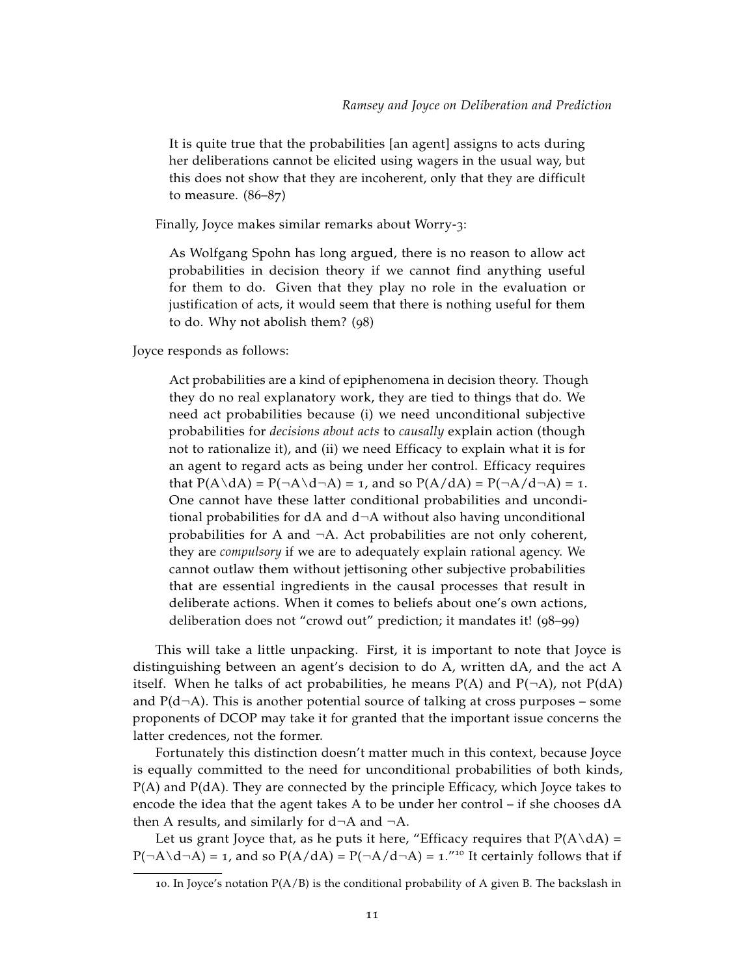It is quite true that the probabilities [an agent] assigns to acts during her deliberations cannot be elicited using wagers in the usual way, but this does not show that they are incoherent, only that they are difficult to measure. (86–87)

Finally, Joyce makes similar remarks about Worry-3:

As Wolfgang Spohn has long argued, there is no reason to allow act probabilities in decision theory if we cannot find anything useful for them to do. Given that they play no role in the evaluation or justification of acts, it would seem that there is nothing useful for them to do. Why not abolish them? (98)

Joyce responds as follows:

Act probabilities are a kind of epiphenomena in decision theory. Though they do no real explanatory work, they are tied to things that do. We need act probabilities because (i) we need unconditional subjective probabilities for *decisions about acts* to *causally* explain action (though not to rationalize it), and (ii) we need Efficacy to explain what it is for an agent to regard acts as being under her control. Efficacy requires that  $P(A \ dA) = P(\neg A \ d\neg A) = 1$ , and so  $P(A/dA) = P(\neg A \ d\neg A) = 1$ . One cannot have these latter conditional probabilities and unconditional probabilities for  $dA$  and  $d\neg A$  without also having unconditional probabilities for A and ¬A. Act probabilities are not only coherent, they are *compulsory* if we are to adequately explain rational agency. We cannot outlaw them without jettisoning other subjective probabilities that are essential ingredients in the causal processes that result in deliberate actions. When it comes to beliefs about one's own actions, deliberation does not "crowd out" prediction; it mandates it! (98–99)

This will take a little unpacking. First, it is important to note that Joyce is distinguishing between an agent's decision to do A, written dA, and the act A itself. When he talks of act probabilities, he means  $P(A)$  and  $P(\neg A)$ , not  $P(dA)$ and  $P(d\neg A)$ . This is another potential source of talking at cross purposes – some proponents of DCOP may take it for granted that the important issue concerns the latter credences, not the former.

Fortunately this distinction doesn't matter much in this context, because Joyce is equally committed to the need for unconditional probabilities of both kinds, P(A) and P(dA). They are connected by the principle Efficacy, which Joyce takes to encode the idea that the agent takes A to be under her control – if she chooses dA then A results, and similarly for  $d\neg A$  and  $\neg A$ .

Let us grant Joyce that, as he puts it here, "Efficacy requires that  $P(A\backslash dA)$  =  $P(\neg A \setminus d \neg A) = 1$ , and so  $P(A/dA) = P(\neg A/d \neg A) = 1$ ."<sup>10</sup> It certainly follows that if

<sup>10.</sup> In Joyce's notation  $P(A/B)$  is the conditional probability of A given B. The backslash in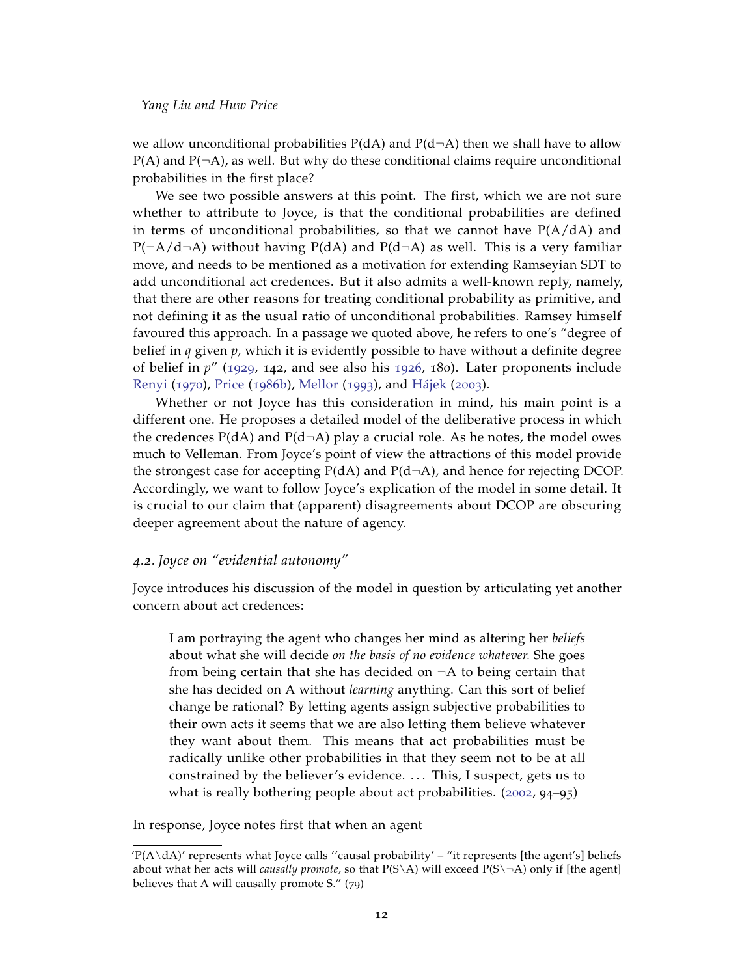we allow unconditional probabilities  $P(dA)$  and  $P(d\neg A)$  then we shall have to allow  $P(A)$  and  $P(\neg A)$ , as well. But why do these conditional claims require unconditional probabilities in the first place?

We see two possible answers at this point. The first, which we are not sure whether to attribute to Joyce, is that the conditional probabilities are defined in terms of unconditional probabilities, so that we cannot have  $P(A/dA)$  and  $P(\neg A/d \neg A)$  without having  $P(dA)$  and  $P(d \neg A)$  as well. This is a very familiar move, and needs to be mentioned as a motivation for extending Ramseyian SDT to add unconditional act credences. But it also admits a well-known reply, namely, that there are other reasons for treating conditional probability as primitive, and not defining it as the usual ratio of unconditional probabilities. Ramsey himself favoured this approach. In a passage we quoted above, he refers to one's "degree of belief in *q* given *p,* which it is evidently possible to have without a definite degree of belief in *p*" ([1929](#page-24-8), 142, and see also his [1926](#page-24-6), 180). Later proponents include [Renyi](#page-24-13) ([1970](#page-24-13)), [Price](#page-24-14) ([1986](#page-24-14)b), [Mellor](#page-24-15) ([1993](#page-24-15)), and [Hájek](#page-23-9) ([2003](#page-23-9)).

Whether or not Joyce has this consideration in mind, his main point is a different one. He proposes a detailed model of the deliberative process in which the credences  $P(dA)$  and  $P(d\neg A)$  play a crucial role. As he notes, the model owes much to Velleman. From Joyce's point of view the attractions of this model provide the strongest case for accepting  $P(dA)$  and  $P(d\neg A)$ , and hence for rejecting DCOP. Accordingly, we want to follow Joyce's explication of the model in some detail. It is crucial to our claim that (apparent) disagreements about DCOP are obscuring deeper agreement about the nature of agency.

#### *4.2. Joyce on "evidential autonomy"*

Joyce introduces his discussion of the model in question by articulating yet another concern about act credences:

I am portraying the agent who changes her mind as altering her *beliefs* about what she will decide *on the basis of no evidence whatever.* She goes from being certain that she has decided on  $\neg A$  to being certain that she has decided on A without *learning* anything. Can this sort of belief change be rational? By letting agents assign subjective probabilities to their own acts it seems that we are also letting them believe whatever they want about them. This means that act probabilities must be radically unlike other probabilities in that they seem not to be at all constrained by the believer's evidence. . . . This, I suspect, gets us to what is really bothering people about act probabilities. ([2002](#page-23-1), 94–95)

In response, Joyce notes first that when an agent

 $P(A\backslash dA)'$  represents what Joyce calls "causal probability" – "it represents [the agent's] beliefs about what her acts will *causally promote*, so that P(S\A) will exceed P(S\¬A) only if [the agent] believes that A will causally promote S." (79)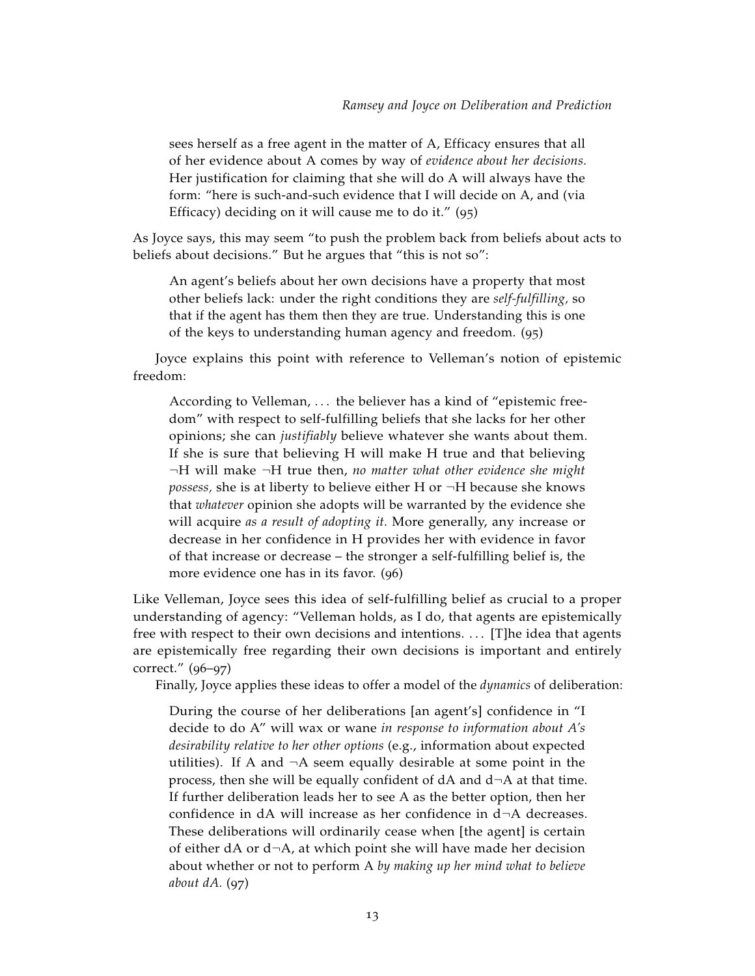sees herself as a free agent in the matter of A, Efficacy ensures that all of her evidence about A comes by way of *evidence about her decisions.* Her justification for claiming that she will do A will always have the form: "here is such-and-such evidence that I will decide on A, and (via Efficacy) deciding on it will cause me to do it." (95)

As Joyce says, this may seem "to push the problem back from beliefs about acts to beliefs about decisions." But he argues that "this is not so":

An agent's beliefs about her own decisions have a property that most other beliefs lack: under the right conditions they are *self-fulfilling,* so that if the agent has them then they are true. Understanding this is one of the keys to understanding human agency and freedom. (95)

Joyce explains this point with reference to Velleman's notion of epistemic freedom:

According to Velleman, ... the believer has a kind of "epistemic freedom" with respect to self-fulfilling beliefs that she lacks for her other opinions; she can *justifiably* believe whatever she wants about them. If she is sure that believing H will make H true and that believing ¬H will make ¬H true then, *no matter what other evidence she might possess,* she is at liberty to believe either H or ¬H because she knows that *whatever* opinion she adopts will be warranted by the evidence she will acquire *as a result of adopting it.* More generally, any increase or decrease in her confidence in H provides her with evidence in favor of that increase or decrease – the stronger a self-fulfilling belief is, the more evidence one has in its favor. (96)

Like Velleman, Joyce sees this idea of self-fulfilling belief as crucial to a proper understanding of agency: "Velleman holds, as I do, that agents are epistemically free with respect to their own decisions and intentions. . . . [T]he idea that agents are epistemically free regarding their own decisions is important and entirely correct." (96–97)

Finally, Joyce applies these ideas to offer a model of the *dynamics* of deliberation:

During the course of her deliberations [an agent's] confidence in "I decide to do A" will wax or wane *in response to information about A's desirability relative to her other options* (e.g., information about expected utilities). If A and  $\neg A$  seem equally desirable at some point in the process, then she will be equally confident of  $dA$  and  $d\neg A$  at that time. If further deliberation leads her to see A as the better option, then her confidence in dA will increase as her confidence in d¬A decreases. These deliberations will ordinarily cease when [the agent] is certain of either dA or  $d\neg A$ , at which point she will have made her decision about whether or not to perform A *by making up her mind what to believe about dA.* (97)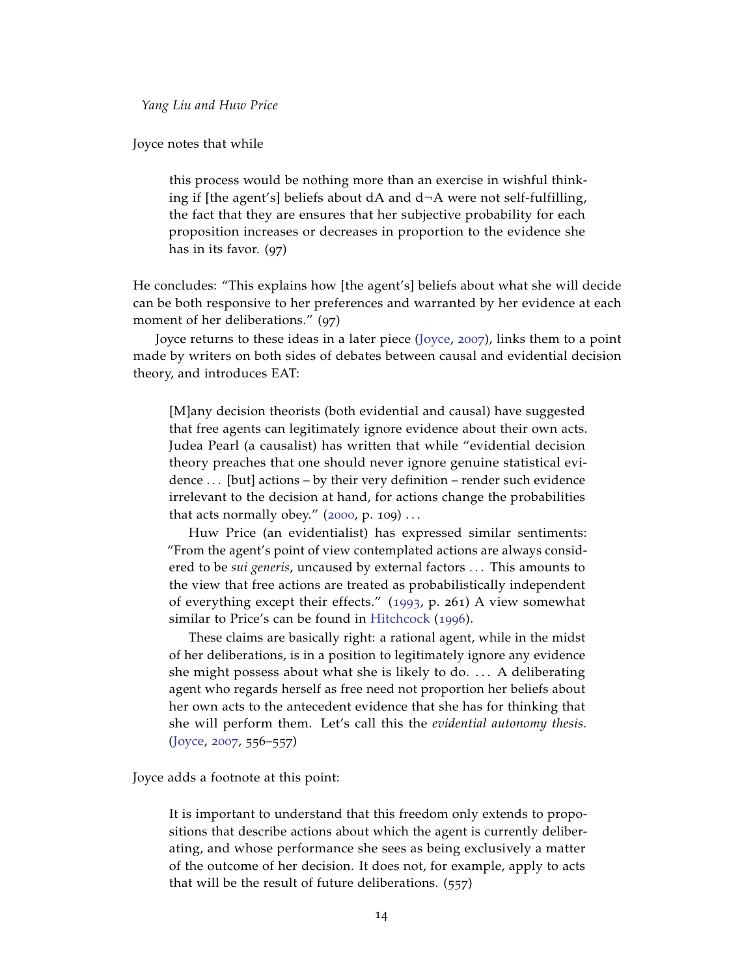Joyce notes that while

this process would be nothing more than an exercise in wishful thinking if [the agent's] beliefs about dA and d¬A were not self-fulfilling, the fact that they are ensures that her subjective probability for each proposition increases or decreases in proportion to the evidence she has in its favor. (97)

He concludes: "This explains how [the agent's] beliefs about what she will decide can be both responsive to her preferences and warranted by her evidence at each moment of her deliberations." (97)

Joyce returns to these ideas in a later piece [\(Joyce,](#page-23-3) [2007](#page-23-3)), links them to a point made by writers on both sides of debates between causal and evidential decision theory, and introduces EAT:

[M]any decision theorists (both evidential and causal) have suggested that free agents can legitimately ignore evidence about their own acts. Judea Pearl (a causalist) has written that while "evidential decision theory preaches that one should never ignore genuine statistical evidence ... [but] actions – by their very definition – render such evidence irrelevant to the decision at hand, for actions change the probabilities that acts normally obey."  $(2000, p. 109) \ldots$  $(2000, p. 109) \ldots$  $(2000, p. 109) \ldots$ 

Huw Price (an evidentialist) has expressed similar sentiments: "From the agent's point of view contemplated actions are always considered to be *sui generis*, uncaused by external factors . . . This amounts to the view that free actions are treated as probabilistically independent of everything except their effects." ([1993](#page-24-17), p. 261) A view somewhat similar to Price's can be found in [Hitchcock](#page-23-10) ([1996](#page-23-10)).

These claims are basically right: a rational agent, while in the midst of her deliberations, is in a position to legitimately ignore any evidence she might possess about what she is likely to do. . . . A deliberating agent who regards herself as free need not proportion her beliefs about her own acts to the antecedent evidence that she has for thinking that she will perform them. Let's call this the *evidential autonomy thesis.* [\(Joyce,](#page-23-3) [2007](#page-23-3), 556–557)

Joyce adds a footnote at this point:

It is important to understand that this freedom only extends to propositions that describe actions about which the agent is currently deliberating, and whose performance she sees as being exclusively a matter of the outcome of her decision. It does not, for example, apply to acts that will be the result of future deliberations. (557)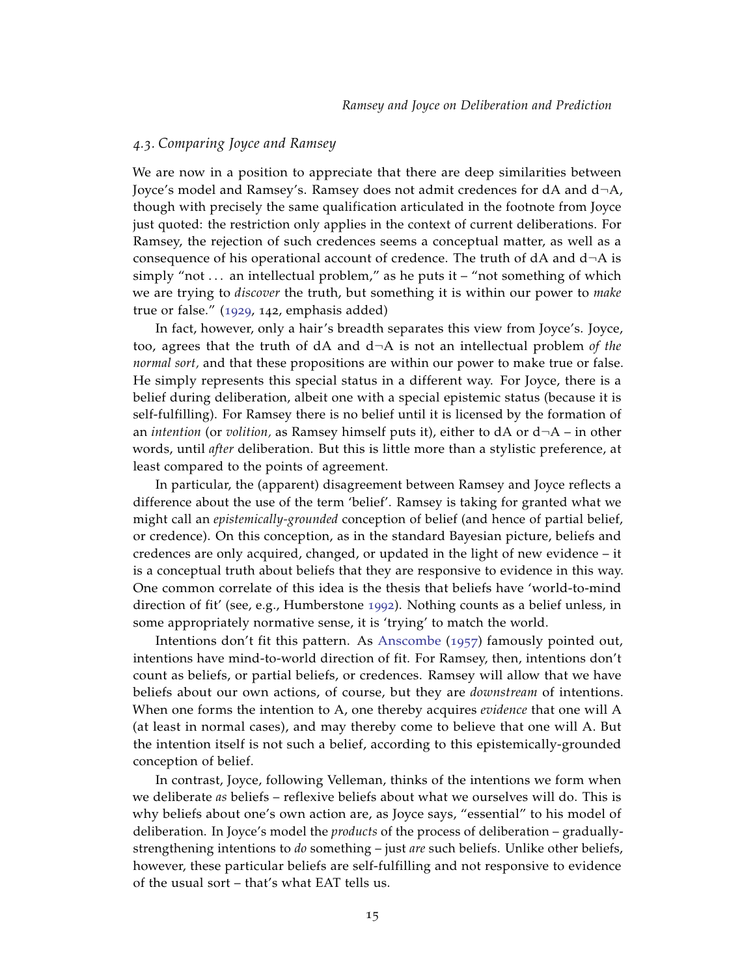## *4.3. Comparing Joyce and Ramsey*

We are now in a position to appreciate that there are deep similarities between Joyce's model and Ramsey's. Ramsey does not admit credences for dA and d¬A, though with precisely the same qualification articulated in the footnote from Joyce just quoted: the restriction only applies in the context of current deliberations. For Ramsey, the rejection of such credences seems a conceptual matter, as well as a consequence of his operational account of credence. The truth of  $dA$  and  $d\neg A$  is simply "not  $\dots$  an intellectual problem," as he puts it – "not something of which we are trying to *discover* the truth, but something it is within our power to *make* true or false." ([1929](#page-24-8), 142, emphasis added)

In fact, however, only a hair's breadth separates this view from Joyce's. Joyce, too, agrees that the truth of dA and d¬A is not an intellectual problem *of the normal sort,* and that these propositions are within our power to make true or false. He simply represents this special status in a different way. For Joyce, there is a belief during deliberation, albeit one with a special epistemic status (because it is self-fulfilling). For Ramsey there is no belief until it is licensed by the formation of an *intention* (or *volition*, as Ramsey himself puts it), either to  $dA$  or  $d\neg A$  – in other words, until *after* deliberation. But this is little more than a stylistic preference, at least compared to the points of agreement.

In particular, the (apparent) disagreement between Ramsey and Joyce reflects a difference about the use of the term 'belief'. Ramsey is taking for granted what we might call an *epistemically-grounded* conception of belief (and hence of partial belief, or credence). On this conception, as in the standard Bayesian picture, beliefs and credences are only acquired, changed, or updated in the light of new evidence – it is a conceptual truth about beliefs that they are responsive to evidence in this way. One common correlate of this idea is the thesis that beliefs have 'world-to-mind direction of fit' (see, e.g., Humberstone [1992](#page-23-11)). Nothing counts as a belief unless, in some appropriately normative sense, it is 'trying' to match the world.

Intentions don't fit this pattern. As [Anscombe](#page-23-12) ([1957](#page-23-12)) famously pointed out, intentions have mind-to-world direction of fit. For Ramsey, then, intentions don't count as beliefs, or partial beliefs, or credences. Ramsey will allow that we have beliefs about our own actions, of course, but they are *downstream* of intentions. When one forms the intention to A, one thereby acquires *evidence* that one will A (at least in normal cases), and may thereby come to believe that one will A. But the intention itself is not such a belief, according to this epistemically-grounded conception of belief.

In contrast, Joyce, following Velleman, thinks of the intentions we form when we deliberate *as* beliefs – reflexive beliefs about what we ourselves will do. This is why beliefs about one's own action are, as Joyce says, "essential" to his model of deliberation. In Joyce's model the *products* of the process of deliberation – graduallystrengthening intentions to *do* something – just *are* such beliefs. Unlike other beliefs, however, these particular beliefs are self-fulfilling and not responsive to evidence of the usual sort – that's what EAT tells us.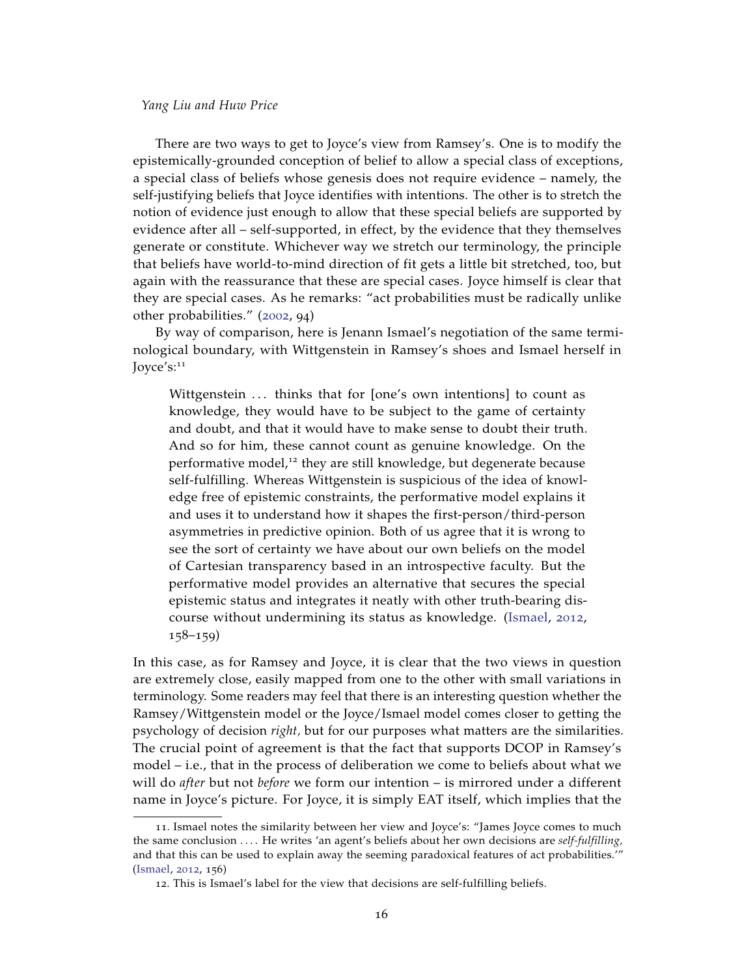There are two ways to get to Joyce's view from Ramsey's. One is to modify the epistemically-grounded conception of belief to allow a special class of exceptions, a special class of beliefs whose genesis does not require evidence – namely, the self-justifying beliefs that Joyce identifies with intentions. The other is to stretch the notion of evidence just enough to allow that these special beliefs are supported by evidence after all – self-supported, in effect, by the evidence that they themselves generate or constitute. Whichever way we stretch our terminology, the principle that beliefs have world-to-mind direction of fit gets a little bit stretched, too, but again with the reassurance that these are special cases. Joyce himself is clear that they are special cases. As he remarks: "act probabilities must be radically unlike other probabilities." ([2002](#page-23-1), 94)

By way of comparison, here is Jenann Ismael's negotiation of the same terminological boundary, with Wittgenstein in Ramsey's shoes and Ismael herself in Joyce's:<sup>11</sup>

Wittgenstein ... thinks that for [one's own intentions] to count as knowledge, they would have to be subject to the game of certainty and doubt, and that it would have to make sense to doubt their truth. And so for him, these cannot count as genuine knowledge. On the performative model,<sup>12</sup> they are still knowledge, but degenerate because self-fulfilling. Whereas Wittgenstein is suspicious of the idea of knowledge free of epistemic constraints, the performative model explains it and uses it to understand how it shapes the first-person/third-person asymmetries in predictive opinion. Both of us agree that it is wrong to see the sort of certainty we have about our own beliefs on the model of Cartesian transparency based in an introspective faculty. But the performative model provides an alternative that secures the special epistemic status and integrates it neatly with other truth-bearing discourse without undermining its status as knowledge. [\(Ismael,](#page-23-7) [2012](#page-23-7), 158–159)

In this case, as for Ramsey and Joyce, it is clear that the two views in question are extremely close, easily mapped from one to the other with small variations in terminology. Some readers may feel that there is an interesting question whether the Ramsey/Wittgenstein model or the Joyce/Ismael model comes closer to getting the psychology of decision *right,* but for our purposes what matters are the similarities. The crucial point of agreement is that the fact that supports DCOP in Ramsey's model – i.e., that in the process of deliberation we come to beliefs about what we will do *after* but not *before* we form our intention – is mirrored under a different name in Joyce's picture. For Joyce, it is simply EAT itself, which implies that the

<sup>11</sup>. Ismael notes the similarity between her view and Joyce's: "James Joyce comes to much the same conclusion . . . . He writes 'an agent's beliefs about her own decisions are *self-fulfilling,* and that this can be used to explain away the seeming paradoxical features of act probabilities.'" [\(Ismael,](#page-23-7) [2012](#page-23-7), 156)

<sup>12</sup>. This is Ismael's label for the view that decisions are self-fulfilling beliefs.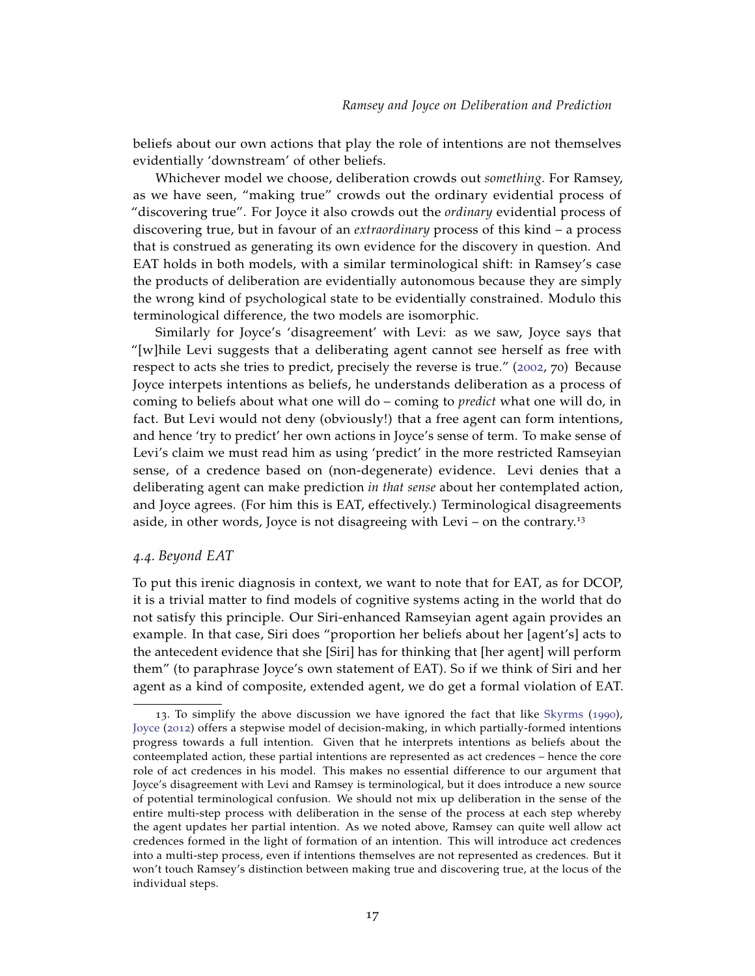beliefs about our own actions that play the role of intentions are not themselves evidentially 'downstream' of other beliefs.

Whichever model we choose, deliberation crowds out *something.* For Ramsey, as we have seen, "making true" crowds out the ordinary evidential process of "discovering true". For Joyce it also crowds out the *ordinary* evidential process of discovering true, but in favour of an *extraordinary* process of this kind – a process that is construed as generating its own evidence for the discovery in question. And EAT holds in both models, with a similar terminological shift: in Ramsey's case the products of deliberation are evidentially autonomous because they are simply the wrong kind of psychological state to be evidentially constrained. Modulo this terminological difference, the two models are isomorphic.

Similarly for Joyce's 'disagreement' with Levi: as we saw, Joyce says that "[w]hile Levi suggests that a deliberating agent cannot see herself as free with respect to acts she tries to predict, precisely the reverse is true." ([2002](#page-23-1), 70) Because Joyce interpets intentions as beliefs, he understands deliberation as a process of coming to beliefs about what one will do – coming to *predict* what one will do, in fact. But Levi would not deny (obviously!) that a free agent can form intentions, and hence 'try to predict' her own actions in Joyce's sense of term. To make sense of Levi's claim we must read him as using 'predict' in the more restricted Ramseyian sense, of a credence based on (non-degenerate) evidence. Levi denies that a deliberating agent can make prediction *in that sense* about her contemplated action, and Joyce agrees. (For him this is EAT, effectively.) Terminological disagreements aside, in other words, Joyce is not disagreeing with Levi – on the contrary.<sup>13</sup>

# *4.4. Beyond EAT*

To put this irenic diagnosis in context, we want to note that for EAT, as for DCOP, it is a trivial matter to find models of cognitive systems acting in the world that do not satisfy this principle. Our Siri-enhanced Ramseyian agent again provides an example. In that case, Siri does "proportion her beliefs about her [agent's] acts to the antecedent evidence that she [Siri] has for thinking that [her agent] will perform them" (to paraphrase Joyce's own statement of EAT). So if we think of Siri and her agent as a kind of composite, extended agent, we do get a formal violation of EAT.

<sup>13</sup>. To simplify the above discussion we have ignored the fact that like [Skyrms](#page-24-18) ([1990](#page-24-18)), [Joyce](#page-23-13) ([2012](#page-23-13)) offers a stepwise model of decision-making, in which partially-formed intentions progress towards a full intention. Given that he interprets intentions as beliefs about the conteemplated action, these partial intentions are represented as act credences – hence the core role of act credences in his model. This makes no essential difference to our argument that Joyce's disagreement with Levi and Ramsey is terminological, but it does introduce a new source of potential terminological confusion. We should not mix up deliberation in the sense of the entire multi-step process with deliberation in the sense of the process at each step whereby the agent updates her partial intention. As we noted above, Ramsey can quite well allow act credences formed in the light of formation of an intention. This will introduce act credences into a multi-step process, even if intentions themselves are not represented as credences. But it won't touch Ramsey's distinction between making true and discovering true, at the locus of the individual steps.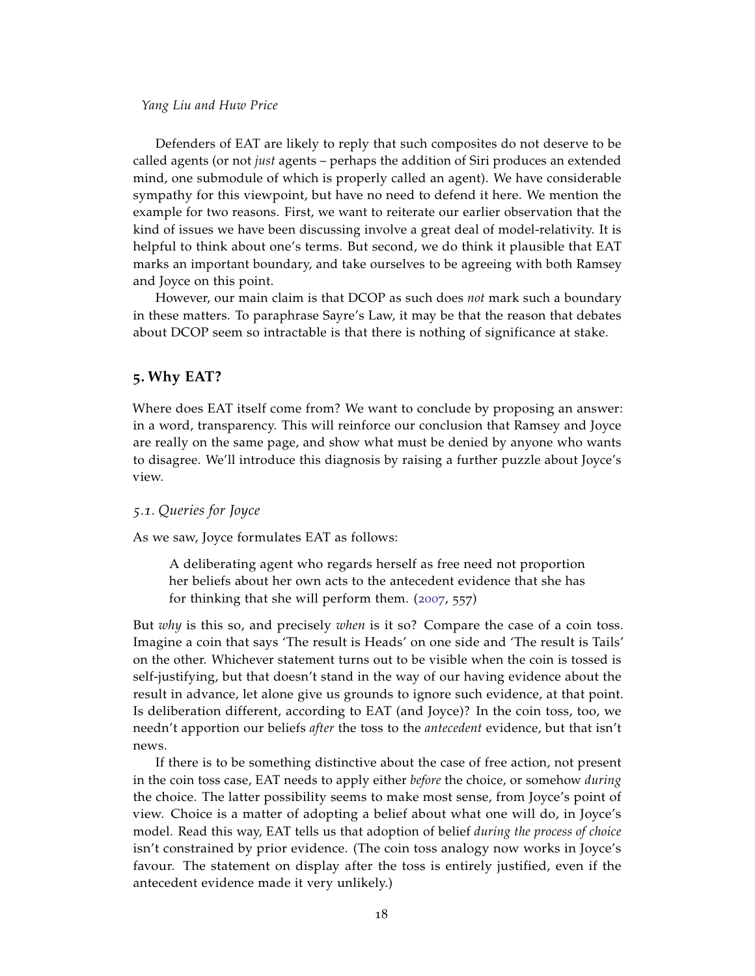Defenders of EAT are likely to reply that such composites do not deserve to be called agents (or not *just* agents – perhaps the addition of Siri produces an extended mind, one submodule of which is properly called an agent). We have considerable sympathy for this viewpoint, but have no need to defend it here. We mention the example for two reasons. First, we want to reiterate our earlier observation that the kind of issues we have been discussing involve a great deal of model-relativity. It is helpful to think about one's terms. But second, we do think it plausible that EAT marks an important boundary, and take ourselves to be agreeing with both Ramsey and Joyce on this point.

However, our main claim is that DCOP as such does *not* mark such a boundary in these matters. To paraphrase Sayre's Law, it may be that the reason that debates about DCOP seem so intractable is that there is nothing of significance at stake.

#### **5. Why EAT?**

Where does EAT itself come from? We want to conclude by proposing an answer: in a word, transparency. This will reinforce our conclusion that Ramsey and Joyce are really on the same page, and show what must be denied by anyone who wants to disagree. We'll introduce this diagnosis by raising a further puzzle about Joyce's view.

## *5.1. Queries for Joyce*

As we saw, Joyce formulates EAT as follows:

A deliberating agent who regards herself as free need not proportion her beliefs about her own acts to the antecedent evidence that she has for thinking that she will perform them. ([2007](#page-23-3), 557)

But *why* is this so, and precisely *when* is it so? Compare the case of a coin toss. Imagine a coin that says 'The result is Heads' on one side and 'The result is Tails' on the other. Whichever statement turns out to be visible when the coin is tossed is self-justifying, but that doesn't stand in the way of our having evidence about the result in advance, let alone give us grounds to ignore such evidence, at that point. Is deliberation different, according to EAT (and Joyce)? In the coin toss, too, we needn't apportion our beliefs *after* the toss to the *antecedent* evidence, but that isn't news.

If there is to be something distinctive about the case of free action, not present in the coin toss case, EAT needs to apply either *before* the choice, or somehow *during* the choice. The latter possibility seems to make most sense, from Joyce's point of view. Choice is a matter of adopting a belief about what one will do, in Joyce's model. Read this way, EAT tells us that adoption of belief *during the process of choice* isn't constrained by prior evidence. (The coin toss analogy now works in Joyce's favour. The statement on display after the toss is entirely justified, even if the antecedent evidence made it very unlikely.)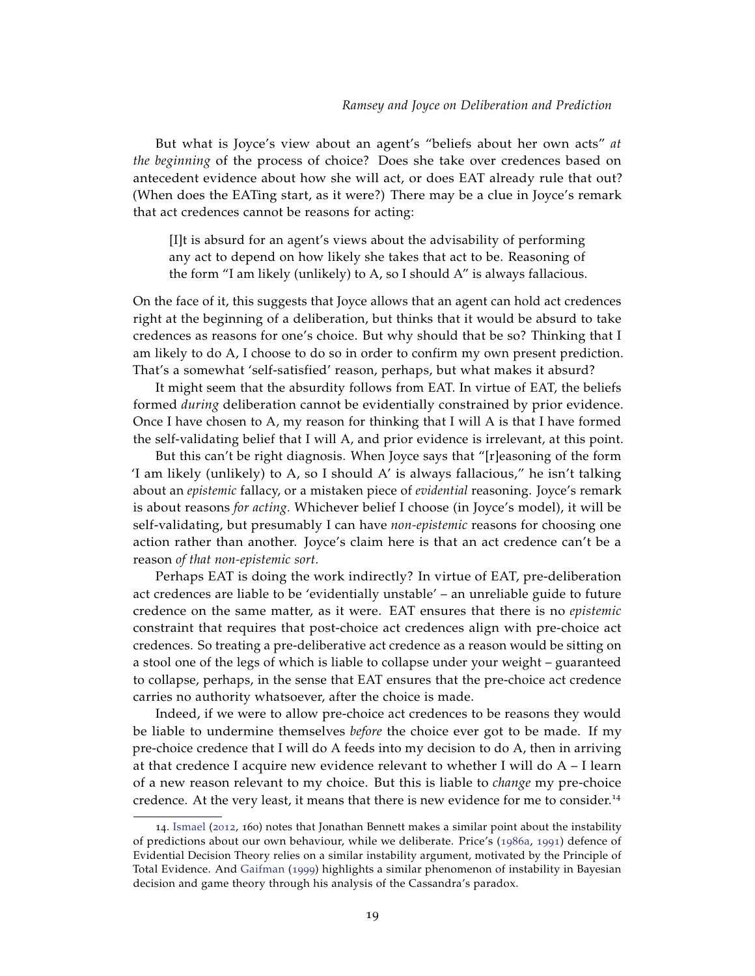But what is Joyce's view about an agent's "beliefs about her own acts" *at the beginning* of the process of choice? Does she take over credences based on antecedent evidence about how she will act, or does EAT already rule that out? (When does the EATing start, as it were?) There may be a clue in Joyce's remark that act credences cannot be reasons for acting:

[I]t is absurd for an agent's views about the advisability of performing any act to depend on how likely she takes that act to be. Reasoning of the form "I am likely (unlikely) to A, so I should A" is always fallacious.

On the face of it, this suggests that Joyce allows that an agent can hold act credences right at the beginning of a deliberation, but thinks that it would be absurd to take credences as reasons for one's choice. But why should that be so? Thinking that I am likely to do A, I choose to do so in order to confirm my own present prediction. That's a somewhat 'self-satisfied' reason, perhaps, but what makes it absurd?

It might seem that the absurdity follows from EAT. In virtue of EAT, the beliefs formed *during* deliberation cannot be evidentially constrained by prior evidence. Once I have chosen to A, my reason for thinking that I will A is that I have formed the self-validating belief that I will A, and prior evidence is irrelevant, at this point.

But this can't be right diagnosis. When Joyce says that "[r]easoning of the form 'I am likely (unlikely) to A, so I should A' is always fallacious," he isn't talking about an *epistemic* fallacy, or a mistaken piece of *evidential* reasoning. Joyce's remark is about reasons *for acting.* Whichever belief I choose (in Joyce's model), it will be self-validating, but presumably I can have *non-epistemic* reasons for choosing one action rather than another. Joyce's claim here is that an act credence can't be a reason *of that non-epistemic sort.*

Perhaps EAT is doing the work indirectly? In virtue of EAT, pre-deliberation act credences are liable to be 'evidentially unstable' – an unreliable guide to future credence on the same matter, as it were. EAT ensures that there is no *epistemic* constraint that requires that post-choice act credences align with pre-choice act credences. So treating a pre-deliberative act credence as a reason would be sitting on a stool one of the legs of which is liable to collapse under your weight – guaranteed to collapse, perhaps, in the sense that EAT ensures that the pre-choice act credence carries no authority whatsoever, after the choice is made.

Indeed, if we were to allow pre-choice act credences to be reasons they would be liable to undermine themselves *before* the choice ever got to be made. If my pre-choice credence that I will do A feeds into my decision to do A, then in arriving at that credence I acquire new evidence relevant to whether I will do A – I learn of a new reason relevant to my choice. But this is liable to *change* my pre-choice credence. At the very least, it means that there is new evidence for me to consider.<sup>14</sup>

<sup>14</sup>. [Ismael](#page-23-7) ([2012](#page-23-7), 160) notes that Jonathan Bennett makes a similar point about the instability of predictions about our own behaviour, while we deliberate. Price's ([1986](#page-24-19)a, [1991](#page-24-20)) defence of Evidential Decision Theory relies on a similar instability argument, motivated by the Principle of Total Evidence. And [Gaifman](#page-23-8) ([1999](#page-23-8)) highlights a similar phenomenon of instability in Bayesian decision and game theory through his analysis of the Cassandra's paradox.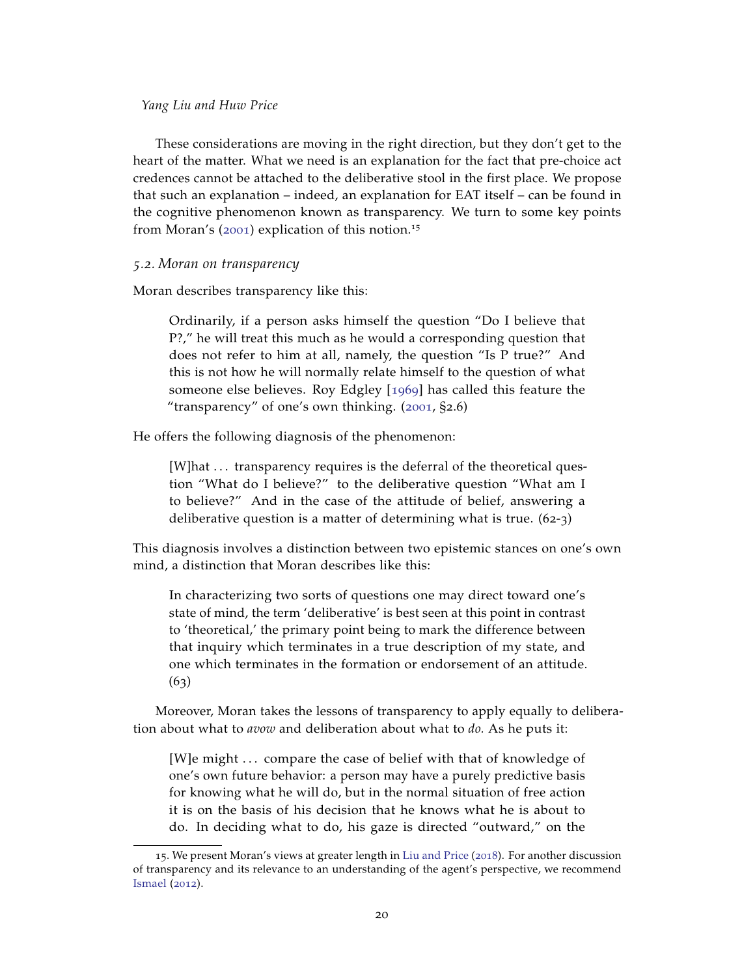These considerations are moving in the right direction, but they don't get to the heart of the matter. What we need is an explanation for the fact that pre-choice act credences cannot be attached to the deliberative stool in the first place. We propose that such an explanation – indeed, an explanation for EAT itself – can be found in the cognitive phenomenon known as transparency. We turn to some key points from Moran's ([2001](#page-24-5)) explication of this notion.<sup>15</sup>

## *5.2. Moran on transparency*

Moran describes transparency like this:

Ordinarily, if a person asks himself the question "Do I believe that P?," he will treat this much as he would a corresponding question that does not refer to him at all, namely, the question "Is P true?" And this is not how he will normally relate himself to the question of what someone else believes. Roy Edgley [[1969](#page-23-14)] has called this feature the "transparency" of one's own thinking. ([2001](#page-24-5), §2.6)

He offers the following diagnosis of the phenomenon:

[W]hat ... transparency requires is the deferral of the theoretical question "What do I believe?" to the deliberative question "What am I to believe?" And in the case of the attitude of belief, answering a deliberative question is a matter of determining what is true. (62-3)

This diagnosis involves a distinction between two epistemic stances on one's own mind, a distinction that Moran describes like this:

In characterizing two sorts of questions one may direct toward one's state of mind, the term 'deliberative' is best seen at this point in contrast to 'theoretical,' the primary point being to mark the difference between that inquiry which terminates in a true description of my state, and one which terminates in the formation or endorsement of an attitude.  $(63)$ 

Moreover, Moran takes the lessons of transparency to apply equally to deliberation about what to *avow* and deliberation about what to *do.* As he puts it:

[W]e might . . . compare the case of belief with that of knowledge of one's own future behavior: a person may have a purely predictive basis for knowing what he will do, but in the normal situation of free action it is on the basis of his decision that he knows what he is about to do. In deciding what to do, his gaze is directed "outward," on the

<sup>15</sup>. We present Moran's views at greater length in [Liu and Price](#page-24-4) ([2018](#page-24-4)). For another discussion of transparency and its relevance to an understanding of the agent's perspective, we recommend [Ismael](#page-23-7) ([2012](#page-23-7)).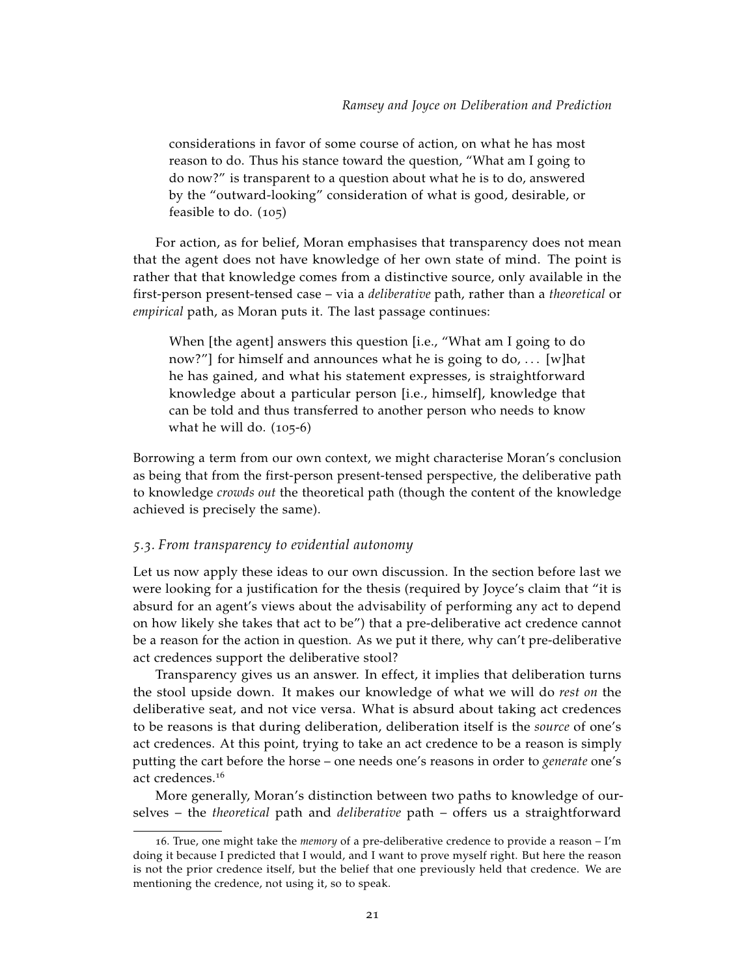considerations in favor of some course of action, on what he has most reason to do. Thus his stance toward the question, "What am I going to do now?" is transparent to a question about what he is to do, answered by the "outward-looking" consideration of what is good, desirable, or feasible to do. (105)

For action, as for belief, Moran emphasises that transparency does not mean that the agent does not have knowledge of her own state of mind. The point is rather that that knowledge comes from a distinctive source, only available in the first-person present-tensed case – via a *deliberative* path, rather than a *theoretical* or *empirical* path, as Moran puts it. The last passage continues:

When [the agent] answers this question [i.e., "What am I going to do now?"] for himself and announces what he is going to do, ... [w]hat he has gained, and what his statement expresses, is straightforward knowledge about a particular person [i.e., himself], knowledge that can be told and thus transferred to another person who needs to know what he will do. (105-6)

Borrowing a term from our own context, we might characterise Moran's conclusion as being that from the first-person present-tensed perspective, the deliberative path to knowledge *crowds out* the theoretical path (though the content of the knowledge achieved is precisely the same).

## *5.3. From transparency to evidential autonomy*

Let us now apply these ideas to our own discussion. In the section before last we were looking for a justification for the thesis (required by Joyce's claim that "it is absurd for an agent's views about the advisability of performing any act to depend on how likely she takes that act to be") that a pre-deliberative act credence cannot be a reason for the action in question. As we put it there, why can't pre-deliberative act credences support the deliberative stool?

Transparency gives us an answer. In effect, it implies that deliberation turns the stool upside down. It makes our knowledge of what we will do *rest on* the deliberative seat, and not vice versa. What is absurd about taking act credences to be reasons is that during deliberation, deliberation itself is the *source* of one's act credences. At this point, trying to take an act credence to be a reason is simply putting the cart before the horse – one needs one's reasons in order to *generate* one's act credences.<sup>16</sup>

More generally, Moran's distinction between two paths to knowledge of ourselves – the *theoretical* path and *deliberative* path – offers us a straightforward

<sup>16</sup>. True, one might take the *memory* of a pre-deliberative credence to provide a reason – I'm doing it because I predicted that I would, and I want to prove myself right. But here the reason is not the prior credence itself, but the belief that one previously held that credence. We are mentioning the credence, not using it, so to speak.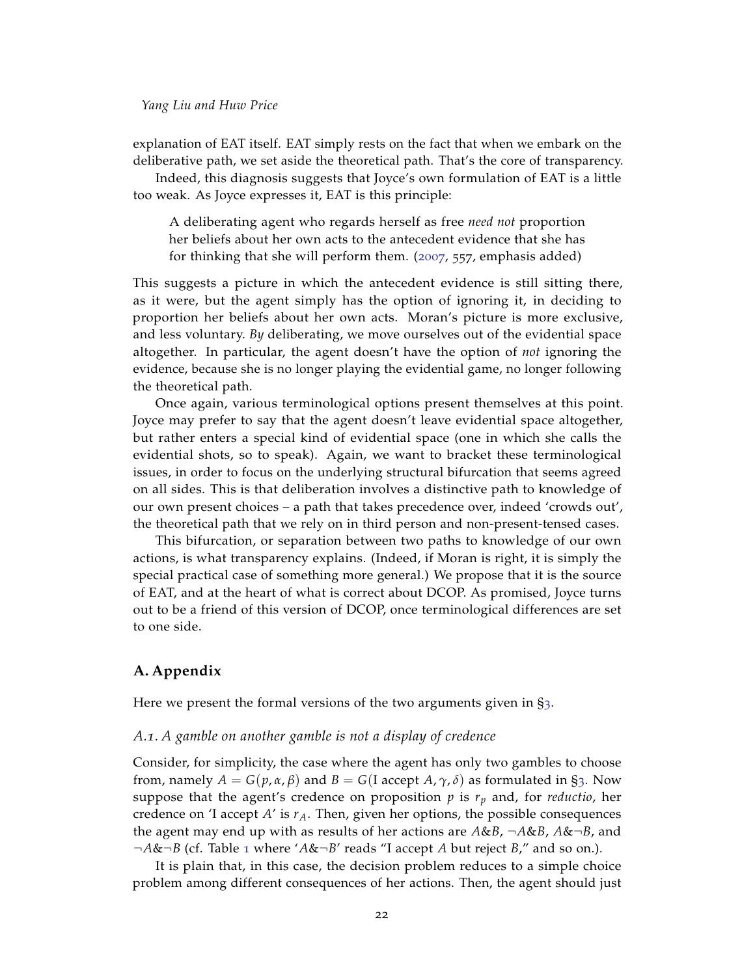explanation of EAT itself. EAT simply rests on the fact that when we embark on the deliberative path, we set aside the theoretical path. That's the core of transparency.

Indeed, this diagnosis suggests that Joyce's own formulation of EAT is a little too weak. As Joyce expresses it, EAT is this principle:

A deliberating agent who regards herself as free *need not* proportion her beliefs about her own acts to the antecedent evidence that she has for thinking that she will perform them. ([2007](#page-23-3), 557, emphasis added)

This suggests a picture in which the antecedent evidence is still sitting there, as it were, but the agent simply has the option of ignoring it, in deciding to proportion her beliefs about her own acts. Moran's picture is more exclusive, and less voluntary. *By* deliberating, we move ourselves out of the evidential space altogether. In particular, the agent doesn't have the option of *not* ignoring the evidence, because she is no longer playing the evidential game, no longer following the theoretical path.

Once again, various terminological options present themselves at this point. Joyce may prefer to say that the agent doesn't leave evidential space altogether, but rather enters a special kind of evidential space (one in which she calls the evidential shots, so to speak). Again, we want to bracket these terminological issues, in order to focus on the underlying structural bifurcation that seems agreed on all sides. This is that deliberation involves a distinctive path to knowledge of our own present choices – a path that takes precedence over, indeed 'crowds out', the theoretical path that we rely on in third person and non-present-tensed cases.

This bifurcation, or separation between two paths to knowledge of our own actions, is what transparency explains. (Indeed, if Moran is right, it is simply the special practical case of something more general.) We propose that it is the source of EAT, and at the heart of what is correct about DCOP. As promised, Joyce turns out to be a friend of this version of DCOP, once terminological differences are set to one side.

# <span id="page-21-0"></span>**A. Appendix**

Here we present the formal versions of the two arguments given in §[3](#page-4-1).

## <span id="page-21-1"></span>*A.1. A gamble on another gamble is not a display of credence*

Consider, for simplicity, the case where the agent has only two gambles to choose from, namely  $A = G(p, \alpha, \beta)$  and  $B = G(I \text{ accept } A, \gamma, \delta)$  as formulated in §[3](#page-4-1). Now suppose that the agent's credence on proposition *p* is *r<sup>p</sup>* and, for *reductio*, her credence on 'I accept *A*' is *rA*. Then, given her options, the possible consequences the agent may end up with as results of her actions are *A*&*B*, ¬*A*&*B*, *A*&¬*B*, and ¬*A*&¬*B* (cf. Table [1](#page-22-1) where '*A*&¬*B*' reads "I accept *A* but reject *B*," and so on.).

It is plain that, in this case, the decision problem reduces to a simple choice problem among different consequences of her actions. Then, the agent should just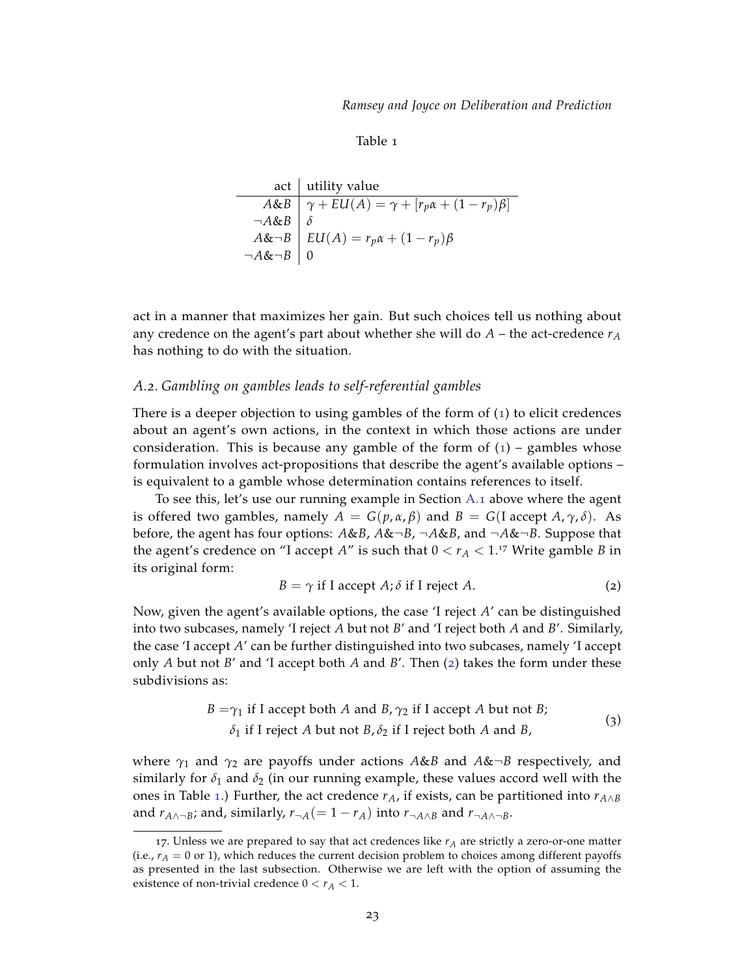Table 1

<span id="page-22-1"></span>

|                          | act   utility value                                                                                |
|--------------------------|----------------------------------------------------------------------------------------------------|
|                          | A&B $\overline{\gamma + EU(A) = \gamma + [r_p \alpha + (1 - r_p)\beta]}$<br>$\neg A \& B$ $\delta$ |
|                          |                                                                                                    |
|                          | $A\&\neg B$ $\mid EU(A) = r_p\alpha + (1 - r_p)\beta$                                              |
| $\neg A & \neg B \mid 0$ |                                                                                                    |

act in a manner that maximizes her gain. But such choices tell us nothing about any credence on the agent's part about whether she will do  $A$  – the act-credence  $r_A$ has nothing to do with the situation.

# <span id="page-22-0"></span>*A.2. Gambling on gambles leads to self-referential gambles*

There is a deeper objection to using gambles of the form of ([1](#page-4-0)) to elicit credences about an agent's own actions, in the context in which those actions are under consideration. This is because any gamble of the form of  $(1)$  $(1)$  $(1)$  – gambles whose formulation involves act-propositions that describe the agent's available options – is equivalent to a gamble whose determination contains references to itself.

To see this, let's use our running example in Section [A.](#page-21-1)1 above where the agent is offered two gambles, namely  $A = G(p, \alpha, \beta)$  and  $B = G(I \text{ accept } A, \gamma, \delta)$ . As before, the agent has four options: *A*&*B*, *A*&¬*B*, ¬*A*&*B*, and ¬*A*&¬*B*. Suppose that the agent's credence on "I accept  $A$ " is such that  $0 < r_A < 1.^{17}$  Write gamble B in its original form:

<span id="page-22-3"></span><span id="page-22-2"></span>
$$
B = \gamma \text{ if } I \text{ accept } A; \delta \text{ if } I \text{ reject } A. \tag{2}
$$

Now, given the agent's available options, the case 'I reject *A*' can be distinguished into two subcases, namely 'I reject *A* but not *B*' and 'I reject both *A* and *B*'. Similarly, the case 'I accept *A*' can be further distinguished into two subcases, namely 'I accept only *A* but not *B*' and 'I accept both *A* and *B*'. Then ([2](#page-22-2)) takes the form under these subdivisions as:

$$
B = \gamma_1 \text{ if } I \text{ accept both } A \text{ and } B, \gamma_2 \text{ if } I \text{ accept } A \text{ but not } B; \\
\delta_1 \text{ if } I \text{ reject } A \text{ but not } B, \delta_2 \text{ if } I \text{ reject both } A \text{ and } B,
$$
\n(3)

where *γ*<sup>1</sup> and *γ*<sup>2</sup> are payoffs under actions *A*&*B* and *A*&¬*B* respectively, and similarly for  $\delta_1$  and  $\delta_2$  (in our running example, these values accord well with the ones in Table [1](#page-22-1).) Further, the act credence  $r_A$ , if exists, can be partitioned into  $r_{A \wedge B}$ and  $r_{A \wedge \neg B}$ ; and, similarly,  $r_{\neg A} (= 1 - r_A)$  into  $r_{\neg A \wedge B}$  and  $r_{\neg A \wedge \neg B}$ .

<sup>17.</sup> Unless we are prepared to say that act credences like  $r_A$  are strictly a zero-or-one matter (i.e.,  $r_A = 0$  or 1), which reduces the current decision problem to choices among different payoffs as presented in the last subsection. Otherwise we are left with the option of assuming the existence of non-trivial credence  $0 < r_A < 1$ .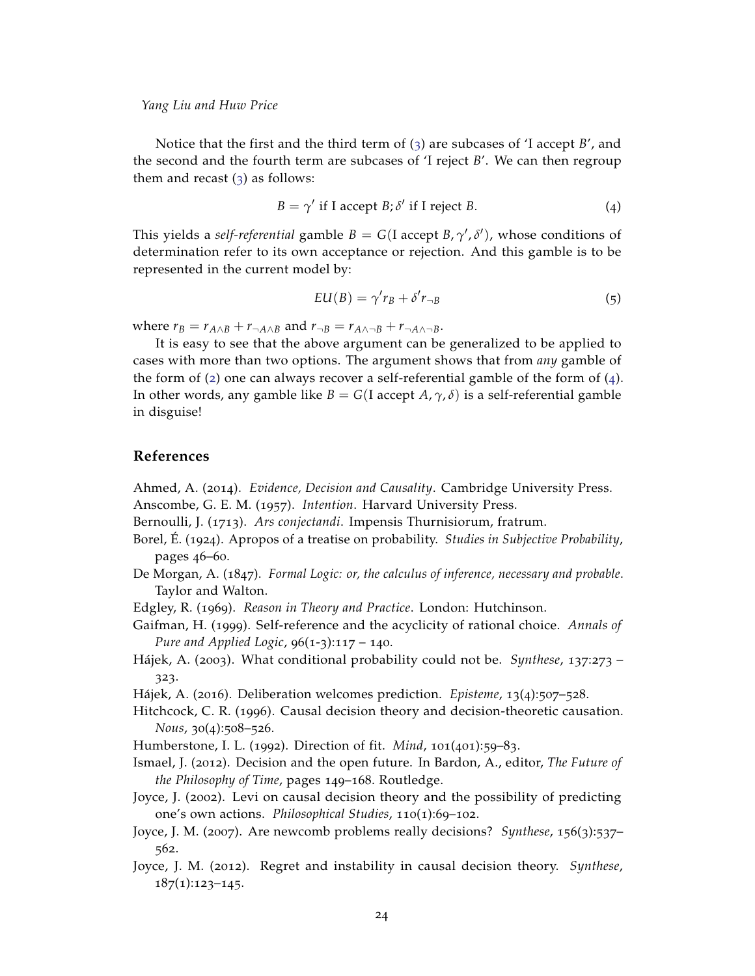Notice that the first and the third term of ([3](#page-22-3)) are subcases of 'I accept *B*', and the second and the fourth term are subcases of 'I reject *B*'. We can then regroup them and recast  $(3)$  $(3)$  $(3)$  as follows:

<span id="page-23-15"></span>
$$
B = \gamma' \text{ if } I \text{ accept } B; \delta' \text{ if } I \text{ reject } B. \tag{4}
$$

This yields a *self-referential* gamble  $B = G(I \text{ accept } B, \gamma', \delta')$ , whose conditions of determination refer to its own acceptance or rejection. And this gamble is to be represented in the current model by:

$$
EU(B) = \gamma' r_B + \delta' r_{\neg B} \tag{5}
$$

where  $r_B = r_{A \wedge B} + r_{\neg A \wedge B}$  and  $r_{\neg B} = r_{A \wedge \neg B} + r_{\neg A \wedge \neg B}$ .

It is easy to see that the above argument can be generalized to be applied to cases with more than two options. The argument shows that from *any* gamble of the form of  $(2)$  $(2)$  $(2)$  one can always recover a self-referential gamble of the form of  $(4)$  $(4)$  $(4)$ . In other words, any gamble like  $B = G(I \text{ accept } A, \gamma, \delta)$  is a self-referential gamble in disguise!

# **References**

<span id="page-23-12"></span><span id="page-23-0"></span>Ahmed, A. (2014). *Evidence, Decision and Causality*. Cambridge University Press. Anscombe, G. E. M. (1957). *Intention*. Harvard University Press.

<span id="page-23-4"></span>Bernoulli, J. (1713). *Ars conjectandi*. Impensis Thurnisiorum, fratrum.

- <span id="page-23-6"></span>Borel, É. (1924). Apropos of a treatise on probability. *Studies in Subjective Probability*, pages 46–60.
- <span id="page-23-5"></span>De Morgan, A. (1847). *Formal Logic: or, the calculus of inference, necessary and probable*. Taylor and Walton.
- <span id="page-23-14"></span>Edgley, R. (1969). *Reason in Theory and Practice*. London: Hutchinson.
- <span id="page-23-8"></span>Gaifman, H. (1999). Self-reference and the acyclicity of rational choice. *Annals of Pure and Applied Logic*, 96(1-3):117 – 140.
- <span id="page-23-9"></span>Hájek, A. (2003). What conditional probability could not be. *Synthese*, 137:273 – 323.
- <span id="page-23-2"></span>Hájek, A. (2016). Deliberation welcomes prediction. *Episteme*, 13(4):507–528.
- <span id="page-23-10"></span>Hitchcock, C. R. (1996). Causal decision theory and decision-theoretic causation. *Nous*, 30(4):508–526.

<span id="page-23-11"></span>Humberstone, I. L. (1992). Direction of fit. *Mind*, 101(401):59–83.

- <span id="page-23-7"></span>Ismael, J. (2012). Decision and the open future. In Bardon, A., editor, *The Future of the Philosophy of Time*, pages 149–168. Routledge.
- <span id="page-23-1"></span>Joyce, J. (2002). Levi on causal decision theory and the possibility of predicting one's own actions. *Philosophical Studies*, 110(1):69–102.
- <span id="page-23-3"></span>Joyce, J. M. (2007). Are newcomb problems really decisions? *Synthese*, 156(3):537– 562.
- <span id="page-23-13"></span>Joyce, J. M. (2012). Regret and instability in causal decision theory. *Synthese*,  $187(1):123-145.$